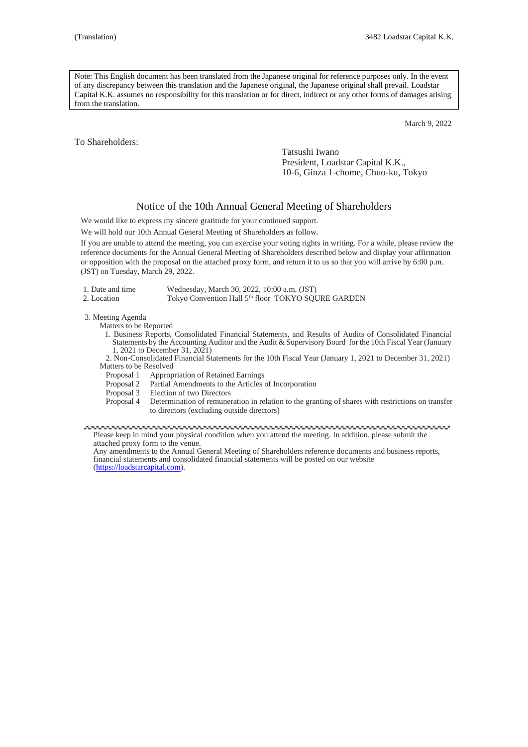Note: This English document has been translated from the Japanese original for reference purposes only. In the event of any discrepancy between this translation and the Japanese original, the Japanese original shall prevail. Loadstar Capital K.K. assumes no responsibility for this translation or for direct, indirect or any other forms of damages arising from the translation.

March 9, 2022

To Shareholders:

Tatsushi Iwano President, Loadstar Capital K.K., 10-6, Ginza 1-chome, Chuo-ku, Tokyo

# Notice of the 10th Annual General Meeting of Shareholders

We would like to express my sincere gratitude for your continued support.

We will hold our 10th Annual General Meeting of Shareholders as follow.

If you are unable to attend the meeting, you can exercise your voting rights in writing. For a while, please review the reference documents for the Annual General Meeting of Shareholders described below and display your affirmation or opposition with the proposal on the attached proxy form, and return it to us so that you will arrive by 6:00 p.m. (JST) on Tuesday, March 29, 2022.

| 1. Date and time | Wednesday, March 30, 2022, 10:00 a.m. (JST)                    |
|------------------|----------------------------------------------------------------|
| 2. Location      | Tokyo Convention Hall 5 <sup>th</sup> floor TOKYO SQURE GARDEN |

3. Meeting Agenda

Matters to be Reported

1. Business Reports, Consolidated Financial Statements, and Results of Audits of Consolidated Financial Statements by the Accounting Auditor and the Audit & Supervisory Board for the 10th Fiscal Year (January 1, 2021 to December 31, 2021)

2. Non-Consolidated Financial Statements for the 10th Fiscal Year (January 1, 2021 to December 31, 2021) Matters to be Resolved

- Proposal 1 Appropriation of Retained Earnings<br>Proposal 2 Partial Amendments to the Articles
- Partial Amendments to the Articles of Incorporation
- Proposal 3 Election of two Directors<br>Proposal 4 Determination of remune
	- Determination of remuneration in relation to the granting of shares with restrictions on transfer to directors (excluding outside directors)

Please keep in mind your physical condition when you attend the meeting. In addition, please submit the attached proxy form to the venue.

Any amendments to the Annual General Meeting of Shareholders reference documents and business reports, financial statements and consolidated financial statements will be posted on our website [\(https://loadstarcapital.com\)](https://loadstarcapital.com/).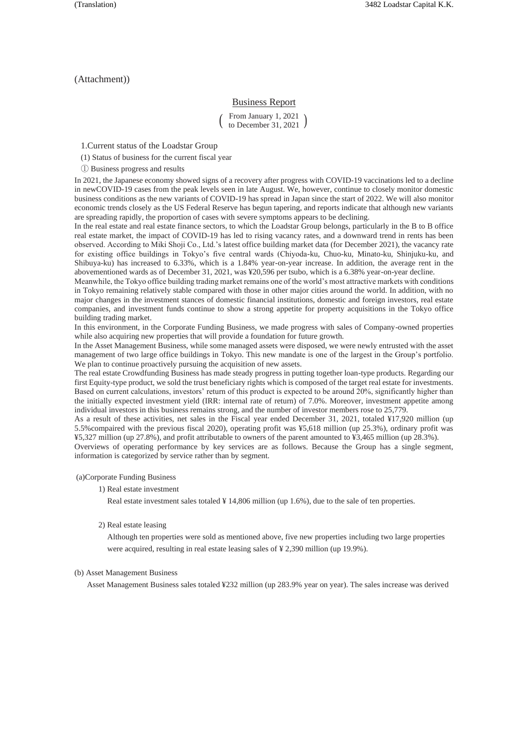(Attachment))

# Business Report

 $\begin{pmatrix}$  From January 1, 2021 <br>to December 31, 2021  $\end{pmatrix}$ to December 31, 2021

1.Current status of the Loadstar Group

(1) Status of business for the current fiscal year

① Business progress and results

In 2021, the Japanese economy showed signs of a recovery after progress with COVID-19 vaccinations led to a decline in newCOVID-19 cases from the peak levels seen in late August. We, however, continue to closely monitor domestic business conditions as the new variants of COVID-19 has spread in Japan since the start of 2022. We will also monitor economic trends closely as the US Federal Reserve has begun tapering, and reports indicate that although new variants are spreading rapidly, the proportion of cases with severe symptoms appears to be declining.

In the real estate and real estate finance sectors, to which the Loadstar Group belongs, particularly in the B to B office real estate market, the impact of COVID-19 has led to rising vacancy rates, and a downward trend in rents has been observed. According to Miki Shoji Co., Ltd.'s latest office building market data (for December 2021), the vacancy rate for existing office buildings in Tokyo's five central wards (Chiyoda-ku, Chuo-ku, Minato-ku, Shinjuku-ku, and Shibuya-ku) has increased to 6.33%, which is a 1.84% year-on-year increase. In addition, the average rent in the abovementioned wards as of December 31, 2021, was ¥20,596 per tsubo, which is a 6.38% year-on-year decline.

Meanwhile, the Tokyo office building trading market remains one of the world's most attractive markets with conditions in Tokyo remaining relatively stable compared with those in other major cities around the world. In addition, with no major changes in the investment stances of domestic financial institutions, domestic and foreign investors, real estate companies, and investment funds continue to show a strong appetite for property acquisitions in the Tokyo office building trading market.

In this environment, in the Corporate Funding Business, we made progress with sales of Company-owned properties while also acquiring new properties that will provide a foundation for future growth.

In the Asset Management Business, while some managed assets were disposed, we were newly entrusted with the asset management of two large office buildings in Tokyo. This new mandate is one of the largest in the Group's portfolio. We plan to continue proactively pursuing the acquisition of new assets.

The real estate Crowdfunding Business has made steady progress in putting together loan-type products. Regarding our first Equity-type product, we sold the trust beneficiary rights which is composed of the target real estate for investments. Based on current calculations, investors' return of this product is expected to be around 20%, significantly higher than the initially expected investment yield (IRR: internal rate of return) of 7.0%. Moreover, investment appetite among individual investors in this business remains strong, and the number of investor members rose to 25,779.

As a result of these activities, net sales in the Fiscal year ended December 31, 2021, totaled ¥17,920 million (up 5.5%compaired with the previous fiscal 2020), operating profit was ¥5,618 million (up 25.3%), ordinary profit was ¥5,327 million (up 27.8%), and profit attributable to owners of the parent amounted to ¥3,465 million (up 28.3%). Overviews of operating performance by key services are as follows. Because the Group has a single segment,

information is categorized by service rather than by segment.

### (a)Corporate Funding Business

1) Real estate investment

Real estate investment sales totaled  $\frac{1}{4}$  14,806 million (up 1.6%), due to the sale of ten properties.

2) Real estate leasing

Although ten properties were sold as mentioned above, five new properties including two large properties were acquired, resulting in real estate leasing sales of ¥ 2,390 million (up 19.9%).

#### (b) Asset Management Business

Asset Management Business sales totaled ¥232 million (up 283.9% year on year). The sales increase was derived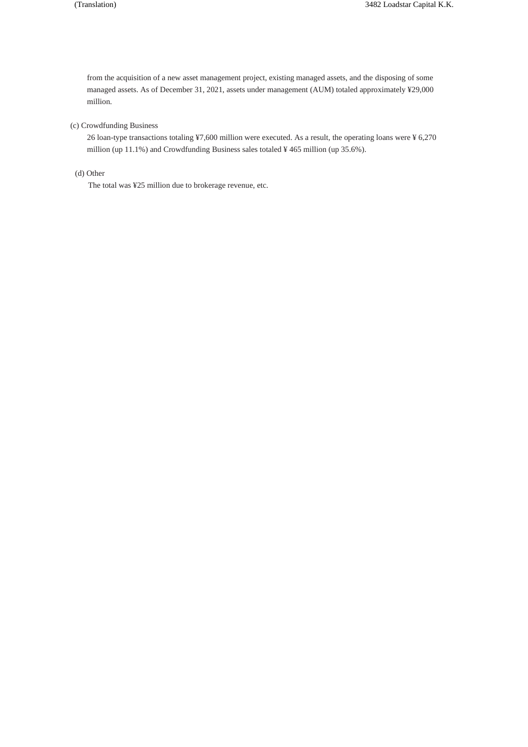from the acquisition of a new asset management project, existing managed assets, and the disposing of some managed assets. As of December 31, 2021, assets under management (AUM) totaled approximately ¥29,000 million.

# (c) Crowdfunding Business

26 loan-type transactions totaling ¥7,600 million were executed. As a result, the operating loans were ¥ 6,270 million (up 11.1%) and Crowdfunding Business sales totaled ¥ 465 million (up 35.6%).

(d) Other

The total was ¥25 million due to brokerage revenue, etc.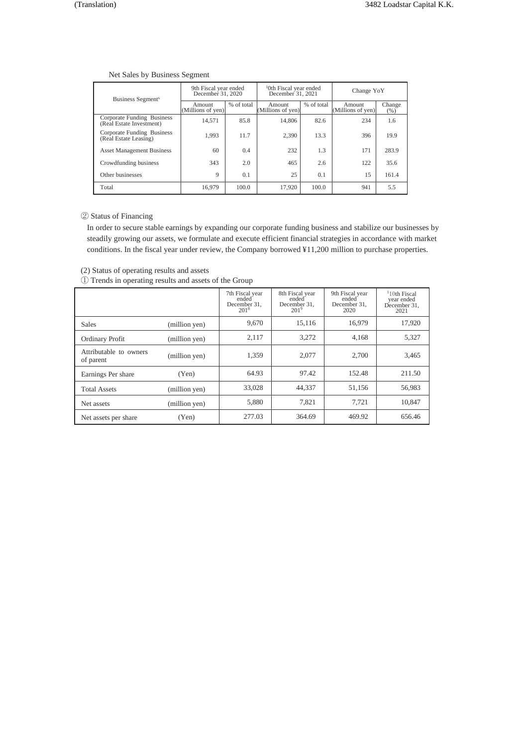# Net Sales by Business Segment

| Business Segment <sup>s</sup>                          | 9th Fiscal year ended<br>December 31, 2020 |            | <sup>1</sup> 0th Fiscal year ended<br>December 31, 2021 |            | Change YoY                  |                |
|--------------------------------------------------------|--------------------------------------------|------------|---------------------------------------------------------|------------|-----------------------------|----------------|
|                                                        | Amount<br>(Millions of yen)                | % of total | Amount<br>(Millions of yen)                             | % of total | Amount<br>(Millions of yen) | Change<br>(% ) |
| Corporate Funding Business<br>(Real Estate Investment) | 14,571                                     | 85.8       | 14,806                                                  | 82.6       | 234                         | 1.6            |
| Corporate Funding Business<br>(Real Estate Leasing)    | 1,993                                      | 11.7       | 2.390                                                   | 13.3       | 396                         | 19.9           |
| <b>Asset Management Business</b>                       | 60                                         | 0.4        | 232                                                     | 1.3        | 171                         | 283.9          |
| Crowdfunding business                                  | 343                                        | 2.0        | 465                                                     | 2.6        | 122                         | 35.6           |
| Other businesses                                       | $\mathbf Q$                                | 0.1        | 25                                                      | 0.1        | 15                          | 161.4          |
| Total                                                  | 16.979                                     | 100.0      | 17,920                                                  | 100.0      | 941                         | 5.5            |

### ② Status of Financing

In order to secure stable earnings by expanding our corporate funding business and stabilize our businesses by steadily growing our assets, we formulate and execute efficient financial strategies in accordance with market conditions. In the fiscal year under review, the Company borrowed ¥11,200 million to purchase properties.

① Trends in operating results and assets of the Group

|                                     |               | 7th Fiscal year<br>ended <sup>'</sup><br>December 31,<br>201 <sup>8</sup> | 8th Fiscal year<br>ended <sup>-</sup><br>December 31,<br>201 <sup>9</sup> | 9th Fiscal year<br>ended <sup>-</sup><br>December 31,<br>2020 | <sup>1</sup> 10th Fiscal<br>year ended<br>December 31.<br>2021 |
|-------------------------------------|---------------|---------------------------------------------------------------------------|---------------------------------------------------------------------------|---------------------------------------------------------------|----------------------------------------------------------------|
| <b>Sales</b>                        | (million yen) | 9,670                                                                     | 15,116                                                                    | 16,979                                                        | 17,920                                                         |
| Ordinary Profit                     | (million yen) | 2,117                                                                     | 3,272                                                                     | 4.168                                                         | 5,327                                                          |
| Attributable to owners<br>of parent | (million yen) | 1,359                                                                     | 2.077                                                                     | 2.700                                                         | 3,465                                                          |
| Earnings Per share                  | (Yen)         | 64.93                                                                     | 97.42                                                                     | 152.48                                                        | 211.50                                                         |
| <b>Total Assets</b>                 | (million yen) | 33.028                                                                    | 44.337                                                                    | 51.156                                                        | 56,983                                                         |
| Net assets                          | (million yen) | 5,880                                                                     | 7,821                                                                     | 7,721                                                         | 10,847                                                         |
| Net assets per share                | (Yen)         | 277.03                                                                    | 364.69                                                                    | 469.92                                                        | 656.46                                                         |

<sup>(2)</sup> Status of operating results and assets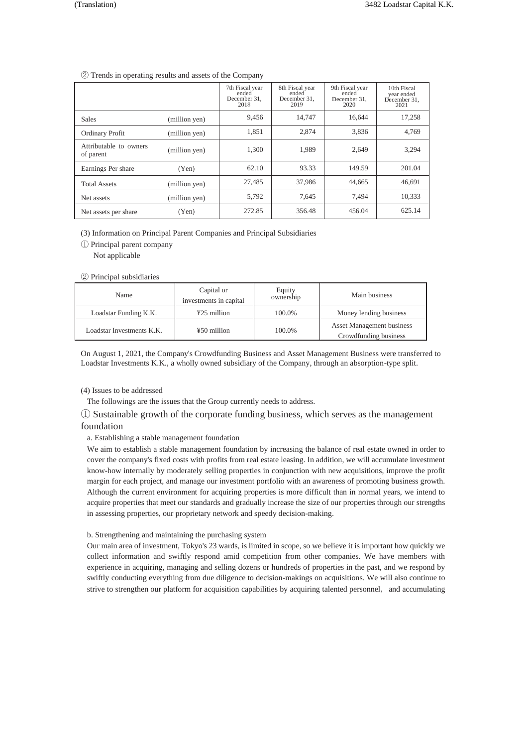### ② Trends in operating results and assets of the Company

|                                     |               | 7th Fiscal year<br>ended<br>December 31,<br>2018 | 8th Fiscal year<br>ended<br>December 31,<br>2019 | 9th Fiscal year<br>ended<br>December 31,<br>2020 | 10th Fiscal<br>year ended<br>December 31.<br>2021 |
|-------------------------------------|---------------|--------------------------------------------------|--------------------------------------------------|--------------------------------------------------|---------------------------------------------------|
| <b>Sales</b>                        | (million yen) | 9,456                                            | 14.747                                           | 16.644                                           | 17,258                                            |
| Ordinary Profit                     | (million yen) | 1,851                                            | 2,874                                            | 3,836                                            | 4,769                                             |
| Attributable to owners<br>of parent | (million yen) | 1,300                                            | 1,989                                            | 2,649                                            | 3,294                                             |
| Earnings Per share                  | (Yen)         | 62.10                                            | 93.33                                            | 149.59                                           | 201.04                                            |
| <b>Total Assets</b>                 | (million yen) | 27,485                                           | 37,986                                           | 44,665                                           | 46.691                                            |
| Net assets                          | (million yen) | 5,792                                            | 7,645                                            | 7,494                                            | 10.333                                            |
| Net assets per share                | (Yen)         | 272.85                                           | 356.48                                           | 456.04                                           | 625.14                                            |

(3) Information on Principal Parent Companies and Principal Subsidiaries

① Principal parent company

Not applicable

### ② Principal subsidiaries

| Name                      | Capital or<br>investments in capital | Equity<br>ownership | Main business                                             |
|---------------------------|--------------------------------------|---------------------|-----------------------------------------------------------|
| Loadstar Funding K.K.     | $425$ million                        | 100.0%              | Money lending business                                    |
| Loadstar Investments K.K. | ¥50 million                          | 100.0%              | <b>Asset Management business</b><br>Crowdfunding business |

On August 1, 2021, the Company's Crowdfunding Business and Asset Management Business were transferred to Loadstar Investments K.K., a wholly owned subsidiary of the Company, through an absorption-type split.

(4) Issues to be addressed

The followings are the issues that the Group currently needs to address.

① Sustainable growth of the corporate funding business, which serves as the management foundation

a. Establishing a stable management foundation

We aim to establish a stable management foundation by increasing the balance of real estate owned in order to cover the company's fixed costs with profits from real estate leasing. In addition, we will accumulate investment know-how internally by moderately selling properties in conjunction with new acquisitions, improve the profit margin for each project, and manage our investment portfolio with an awareness of promoting business growth. Although the current environment for acquiring properties is more difficult than in normal years, we intend to acquire properties that meet our standards and gradually increase the size of our properties through our strengths in assessing properties, our proprietary network and speedy decision-making.

#### b. Strengthening and maintaining the purchasing system

Our main area of investment, Tokyo's 23 wards, is limited in scope, so we believe it is important how quickly we collect information and swiftly respond amid competition from other companies. We have members with experience in acquiring, managing and selling dozens or hundreds of properties in the past, and we respond by swiftly conducting everything from due diligence to decision-makings on acquisitions. We will also continue to strive to strengthen our platform for acquisition capabilities by acquiring talented personnel, and accumulating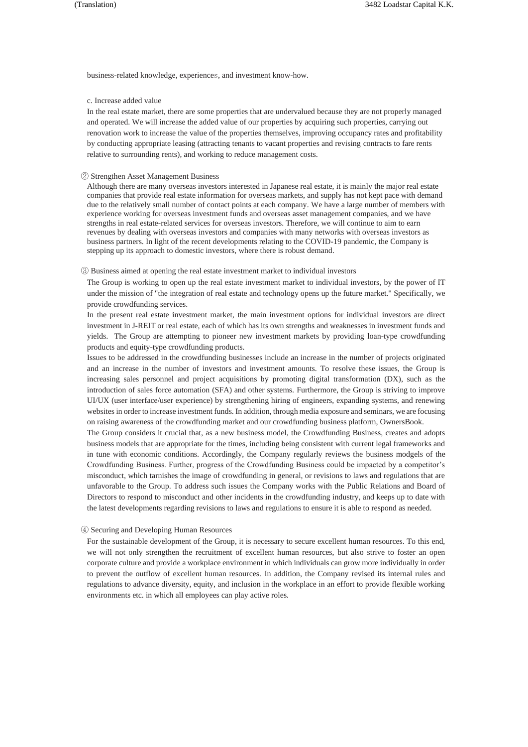business-related knowledge, experiences, and investment know-how.

### c. Increase added value

In the real estate market, there are some properties that are undervalued because they are not properly managed and operated. We will increase the added value of our properties by acquiring such properties, carrying out renovation work to increase the value of the properties themselves, improving occupancy rates and profitability by conducting appropriate leasing (attracting tenants to vacant properties and revising contracts to fare rents relative to surrounding rents), and working to reduce management costs.

#### ② Strengthen Asset Management Business

Although there are many overseas investors interested in Japanese real estate, it is mainly the major real estate companies that provide real estate information for overseas markets, and supply has not kept pace with demand due to the relatively small number of contact points at each company. We have a large number of members with experience working for overseas investment funds and overseas asset management companies, and we have strengths in real estate-related services for overseas investors. Therefore, we will continue to aim to earn revenues by dealing with overseas investors and companies with many networks with overseas investors as business partners. In light of the recent developments relating to the COVID-19 pandemic, the Company is stepping up its approach to domestic investors, where there is robust demand.

#### ③ Business aimed at opening the real estate investment market to individual investors

The Group is working to open up the real estate investment market to individual investors, by the power of IT under the mission of "the integration of real estate and technology opens up the future market." Specifically, we provide crowdfunding services.

In the present real estate investment market, the main investment options for individual investors are direct investment in J-REIT or real estate, each of which has its own strengths and weaknesses in investment funds and yields. The Group are attempting to pioneer new investment markets by providing loan-type crowdfunding products and equity-type crowdfunding products.

Issues to be addressed in the crowdfunding businesses include an increase in the number of projects originated and an increase in the number of investors and investment amounts. To resolve these issues, the Group is increasing sales personnel and project acquisitions by promoting digital transformation (DX), such as the introduction of sales force automation (SFA) and other systems. Furthermore, the Group is striving to improve UI/UX (user interface/user experience) by strengthening hiring of engineers, expanding systems, and renewing websites in order to increase investment funds. In addition, through media exposure and seminars, we are focusing on raising awareness of the crowdfunding market and our crowdfunding business platform, OwnersBook.

The Group considers it crucial that, as a new business model, the Crowdfunding Business, creates and adopts business models that are appropriate for the times, including being consistent with current legal frameworks and in tune with economic conditions. Accordingly, the Company regularly reviews the business modgels of the Crowdfunding Business. Further, progress of the Crowdfunding Business could be impacted by a competitor's misconduct, which tarnishes the image of crowdfunding in general, or revisions to laws and regulations that are unfavorable to the Group. To address such issues the Company works with the Public Relations and Board of Directors to respond to misconduct and other incidents in the crowdfunding industry, and keeps up to date with the latest developments regarding revisions to laws and regulations to ensure it is able to respond as needed.

### ④ Securing and Developing Human Resources

For the sustainable development of the Group, it is necessary to secure excellent human resources. To this end, we will not only strengthen the recruitment of excellent human resources, but also strive to foster an open corporate culture and provide a workplace environment in which individuals can grow more individually in order to prevent the outflow of excellent human resources. In addition, the Company revised its internal rules and regulations to advance diversity, equity, and inclusion in the workplace in an effort to provide flexible working environments etc. in which all employees can play active roles.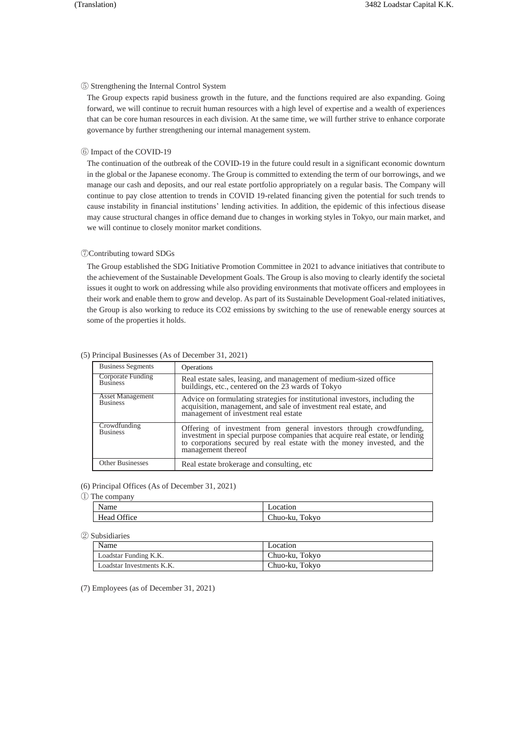#### ⑤ Strengthening the Internal Control System

The Group expects rapid business growth in the future, and the functions required are also expanding. Going forward, we will continue to recruit human resources with a high level of expertise and a wealth of experiences that can be core human resources in each division. At the same time, we will further strive to enhance corporate governance by further strengthening our internal management system.

### ⑥ Impact of the COVID-19

The continuation of the outbreak of the COVID-19 in the future could result in a significant economic downturn in the global or the Japanese economy. The Group is committed to extending the term of our borrowings, and we manage our cash and deposits, and our real estate portfolio appropriately on a regular basis. The Company will continue to pay close attention to trends in COVID 19-related financing given the potential for such trends to cause instability in financial institutions' lending activities. In addition, the epidemic of this infectious disease may cause structural changes in office demand due to changes in working styles in Tokyo, our main market, and we will continue to closely monitor market conditions.

#### ⑦Contributing toward SDGs

The Group established the SDG Initiative Promotion Committee in 2021 to advance initiatives that contribute to the achievement of the Sustainable Development Goals. The Group is also moving to clearly identify the societal issues it ought to work on addressing while also providing environments that motivate officers and employees in their work and enable them to grow and develop. As part of its Sustainable Development Goal-related initiatives, the Group is also working to reduce its CO2 emissions by switching to the use of renewable energy sources at some of the properties it holds.

| <b>Business Segments</b>                   | Operations                                                                                                                                                                                                                                     |
|--------------------------------------------|------------------------------------------------------------------------------------------------------------------------------------------------------------------------------------------------------------------------------------------------|
| Corporate Funding<br><b>Business</b>       | Real estate sales, leasing, and management of medium-sized office<br>buildings, etc., centered on the 23 wards of Tokyo                                                                                                                        |
| <b>Asset Management</b><br><b>Business</b> | Advice on formulating strategies for institutional investors, including the<br>acquisition, management, and sale of investment real estate, and<br>management of investment real estate                                                        |
| Crowdfunding<br>Business                   | Offering of investment from general investors through crowdfunding, investment in special purpose companies that acquire real estate, or lending to corporations secured by real estate with the money invested, and the<br>management thereof |
| <b>Other Businesses</b>                    | Real estate brokerage and consulting, etc                                                                                                                                                                                                      |

#### (5) Principal Businesses (As of December 31, 2021)

(6) Principal Offices (As of December 31, 2021)

① The company

| Name                       | ition<br>oca:                                                              |
|----------------------------|----------------------------------------------------------------------------|
| $\sim$ cc<br>Head<br>JH1ce | -<br>m<br>.okvo<br>$^{\prime}$ h $\overline{\phantom{a}}$<br>o-ku.<br>uuo- |

② Subsidiaries

| Name                      | Location       |
|---------------------------|----------------|
| Loadstar Funding K.K.     | Chuo-ku, Tokyo |
| Loadstar Investments K.K. | Chuo-ku, Tokyo |

(7) Employees (as of December 31, 2021)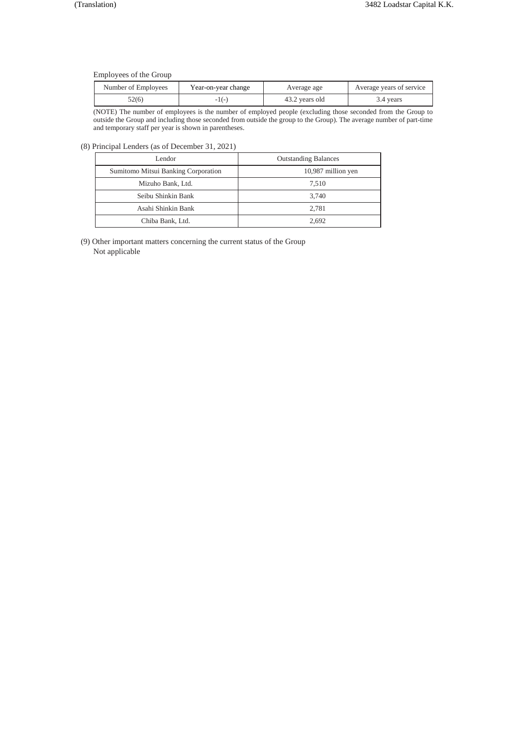Employees of the Group

| Number of Employees | Year-on-year change | Average age    | Average years of service |
|---------------------|---------------------|----------------|--------------------------|
| 52(6)               |                     | 43.2 years old | 3.4 years                |

(NOTE) The number of employees is the number of employed people (excluding those seconded from the Group to outside the Group and including those seconded from outside the group to the Group). The average number of part-time and temporary staff per year is shown in parentheses.

(8) Principal Lenders (as of December 31, 2021)

| Lendor                              | <b>Outstanding Balances</b> |  |  |
|-------------------------------------|-----------------------------|--|--|
| Sumitomo Mitsui Banking Corporation | 10,987 million yen          |  |  |
| Mizuho Bank, Ltd.                   | 7.510                       |  |  |
| Seibu Shinkin Bank                  | 3.740                       |  |  |
| Asahi Shinkin Bank                  | 2.781                       |  |  |
| Chiba Bank, Ltd.                    | 2.692                       |  |  |

(9) Other important matters concerning the current status of the Group Not applicable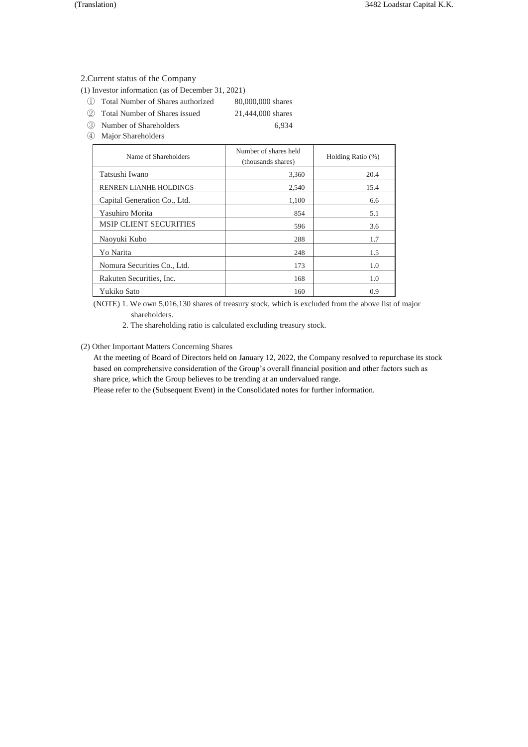### 2.Current status of the Company

(1) Investor information (as of December 31, 2021)

- ① Total Number of Shares authorized 80,000,000 shares
- ② Total Number of Shares issued 21,444,000 shares
- ③ Number of Shareholders 6,934

④ Major Shareholders

| Name of Shareholders          | Number of shares held<br>(thousands shares) | Holding Ratio (%) |  |
|-------------------------------|---------------------------------------------|-------------------|--|
| Tatsushi Iwano                | 3,360                                       | 20.4              |  |
| RENREN LIANHE HOLDINGS        | 2,540                                       | 15.4              |  |
| Capital Generation Co., Ltd.  | 1,100                                       | 6.6               |  |
| Yasuhiro Morita               | 854                                         | 5.1               |  |
| <b>MSIP CLIENT SECURITIES</b> | 596                                         | 3.6               |  |
| Naoyuki Kubo                  | 288                                         | 1.7               |  |
| Yo Narita                     | 248                                         | 1.5               |  |
| Nomura Securities Co., Ltd.   | 173                                         | 1.0               |  |
| Rakuten Securities, Inc.      | 168                                         | 1.0               |  |
| Yukiko Sato                   | 160                                         | 0.9               |  |

(NOTE) 1. We own 5,016,130 shares of treasury stock, which is excluded from the above list of major shareholders.

2. The shareholding ratio is calculated excluding treasury stock.

# (2) Other Important Matters Concerning Shares

At the meeting of Board of Directors held on January 12, 2022, the Company resolved to repurchase its stock based on comprehensive consideration of the Group's overall financial position and other factors such as share price, which the Group believes to be trending at an undervalued range.

Please refer to the (Subsequent Event) in the Consolidated notes for further information.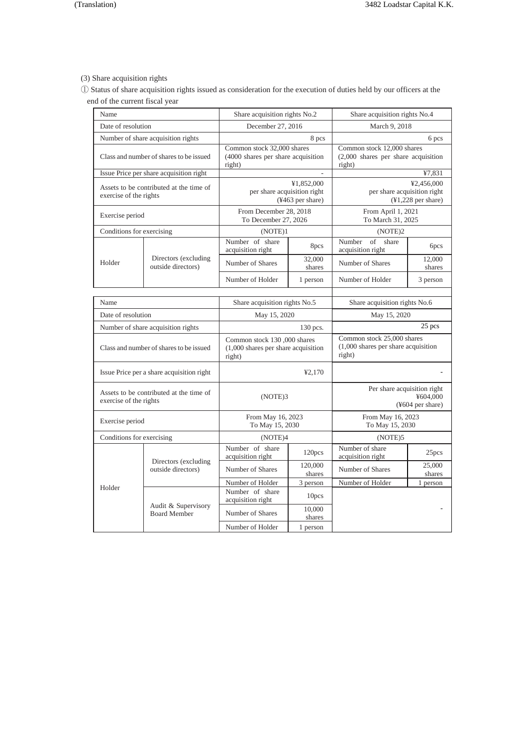# (3) Share acquisition rights

① Status of share acquisition rights issued as consideration for the execution of duties held by our officers at the end of the current fiscal year

| Name                                    |                                            | Share acquisition rights No.2                                                   |                                | Share acquisition rights No.4                                                  |                               |  |
|-----------------------------------------|--------------------------------------------|---------------------------------------------------------------------------------|--------------------------------|--------------------------------------------------------------------------------|-------------------------------|--|
| Date of resolution                      |                                            |                                                                                 | December 27, 2016              |                                                                                | March 9, 2018                 |  |
|                                         | Number of share acquisition rights         |                                                                                 | 8 pcs                          | 6 pcs                                                                          |                               |  |
| Class and number of shares to be issued |                                            | Common stock 32,000 shares<br>(4000 shares per share acquisition)<br>right)     |                                | Common stock 12,000 shares<br>$(2,000)$ shares per share acquisition<br>right) |                               |  |
|                                         | Issue Price per share acquisition right    |                                                                                 |                                |                                                                                | ¥7,831                        |  |
| exercise of the rights                  | Assets to be contributed at the time of    | per share acquisition right                                                     | ¥1,852,000<br>(¥463 per share) | ¥2,456,000<br>per share acquisition right<br>$(41,228$ per share)              |                               |  |
| Exercise period                         |                                            | From December 28, 2018<br>To December 27, 2026                                  |                                | From April 1, 2021<br>To March 31, 2025                                        |                               |  |
| Conditions for exercising               |                                            | (NOTE)1                                                                         |                                | (NOTE)2                                                                        |                               |  |
|                                         |                                            | Number of share<br>acquisition right                                            | 8pcs                           | of<br>Number<br>share<br>acquisition right                                     | 6pcs                          |  |
| Holder                                  | Directors (excluding<br>outside directors) | Number of Shares                                                                | 32,000<br>shares               | Number of Shares                                                               | 12,000<br>shares              |  |
|                                         |                                            | Number of Holder                                                                | 1 person                       | Number of Holder                                                               | 3 person                      |  |
|                                         |                                            |                                                                                 |                                |                                                                                |                               |  |
| Name                                    |                                            |                                                                                 | Share acquisition rights No.5  |                                                                                | Share acquisition rights No.6 |  |
| Date of resolution                      |                                            | May 15, 2020                                                                    |                                | May 15, 2020                                                                   |                               |  |
|                                         | Number of share acquisition rights         |                                                                                 | 130 pcs.                       |                                                                                | 25 pcs                        |  |
|                                         | Class and number of shares to be issued    | Common stock 130,000 shares<br>$(1,000)$ shares per share acquisition<br>right) |                                | Common stock 25,000 shares<br>$(1,000)$ shares per share acquisition<br>right) |                               |  |
|                                         | Issue Price per a share acquisition right  | ¥2.170                                                                          |                                |                                                                                |                               |  |
| exercise of the rights                  | Assets to be contributed at the time of    | (NOTE)3                                                                         |                                | Per share acquisition right<br>¥604.000<br>$(*604$ per share)                  |                               |  |
| Exercise period                         |                                            | From May 16, 2023<br>To May 15, 2030                                            |                                | From May 16, 2023<br>To May 15, 2030                                           |                               |  |
| Conditions for exercising               |                                            | (NOTE)4                                                                         |                                | (NOTE)5                                                                        |                               |  |
|                                         |                                            | Number of share<br>acquisition right                                            | 120pcs                         | Number of share<br>acquisition right                                           | 25pcs                         |  |
|                                         | Directors (excluding<br>outside directors) | Number of Shares                                                                | 120,000<br>shares              | Number of Shares                                                               | 25,000<br>shares              |  |
| Holder                                  |                                            | Number of Holder                                                                | 3 person                       | Number of Holder                                                               | 1 person                      |  |
|                                         |                                            | Number of share<br>acquisition right                                            | 10pcs                          |                                                                                |                               |  |
|                                         | Audit & Supervisory<br><b>Board Member</b> | Number of Shares                                                                | 10,000<br>shares               |                                                                                |                               |  |
|                                         |                                            | Number of Holder                                                                | 1 person                       |                                                                                |                               |  |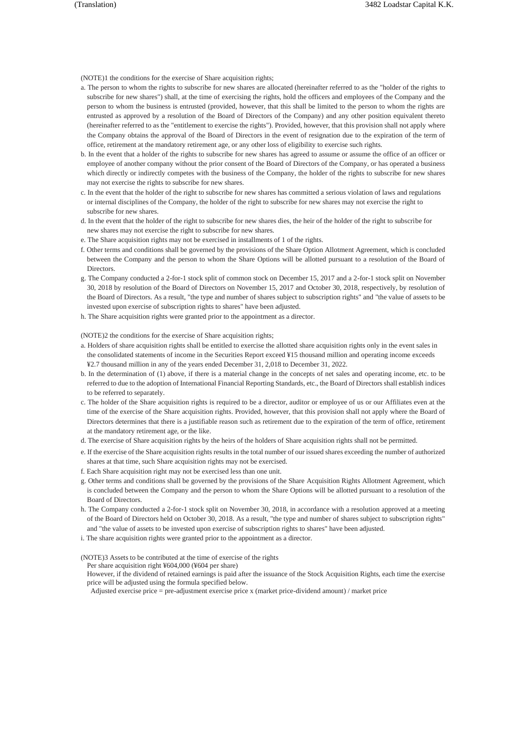(NOTE)1 the conditions for the exercise of Share acquisition rights;

- a. The person to whom the rights to subscribe for new shares are allocated (hereinafter referred to as the "holder of the rights to subscribe for new shares") shall, at the time of exercising the rights, hold the officers and employees of the Company and the person to whom the business is entrusted (provided, however, that this shall be limited to the person to whom the rights are entrusted as approved by a resolution of the Board of Directors of the Company) and any other position equivalent thereto (hereinafter referred to as the "entitlement to exercise the rights"). Provided, however, that this provision shall not apply where the Company obtains the approval of the Board of Directors in the event of resignation due to the expiration of the term of office, retirement at the mandatory retirement age, or any other loss of eligibility to exercise such rights.
- b. In the event that a holder of the rights to subscribe for new shares has agreed to assume or assume the office of an officer or employee of another company without the prior consent of the Board of Directors of the Company, or has operated a business which directly or indirectly competes with the business of the Company, the holder of the rights to subscribe for new shares may not exercise the rights to subscribe for new shares.
- c. In the event that the holder of the right to subscribe for new shares has committed a serious violation of laws and regulations or internal disciplines of the Company, the holder of the right to subscribe for new shares may not exercise the right to subscribe for new shares.
- d. In the event that the holder of the right to subscribe for new shares dies, the heir of the holder of the right to subscribe for new shares may not exercise the right to subscribe for new shares.
- e. The Share acquisition rights may not be exercised in installments of 1 of the rights.
- f. Other terms and conditions shall be governed by the provisions of the Share Option Allotment Agreement, which is concluded between the Company and the person to whom the Share Options will be allotted pursuant to a resolution of the Board of Directors.
- g. The Company conducted a 2-for-1 stock split of common stock on December 15, 2017 and a 2-for-1 stock split on November 30, 2018 by resolution of the Board of Directors on November 15, 2017 and October 30, 2018, respectively, by resolution of the Board of Directors. As a result, "the type and number of shares subject to subscription rights" and "the value of assets to be invested upon exercise of subscription rights to shares" have been adjusted.
- h. The Share acquisition rights were granted prior to the appointment as a director.

(NOTE)2 the conditions for the exercise of Share acquisition rights;

- a. Holders of share acquisition rights shall be entitled to exercise the allotted share acquisition rights only in the event sales in the consolidated statements of income in the Securities Report exceed ¥15 thousand million and operating income exceeds ¥2.7 thousand million in any of the years ended December 31, 2,018 to December 31, 2022.
- b. In the determination of (1) above, if there is a material change in the concepts of net sales and operating income, etc. to be referred to due to the adoption of International Financial Reporting Standards, etc., the Board of Directors shall establish indices to be referred to separately.
- c. The holder of the Share acquisition rights is required to be a director, auditor or employee of us or our Affiliates even at the time of the exercise of the Share acquisition rights. Provided, however, that this provision shall not apply where the Board of Directors determines that there is a justifiable reason such as retirement due to the expiration of the term of office, retirement at the mandatory retirement age, or the like.
- d. The exercise of Share acquisition rights by the heirs of the holders of Share acquisition rights shall not be permitted.
- e. If the exercise of the Share acquisition rights results in the total number of our issued shares exceeding the number of authorized shares at that time, such Share acquisition rights may not be exercised.
- f. Each Share acquisition right may not be exercised less than one unit.
- g. Other terms and conditions shall be governed by the provisions of the Share Acquisition Rights Allotment Agreement, which is concluded between the Company and the person to whom the Share Options will be allotted pursuant to a resolution of the Board of Directors.
- h. The Company conducted a 2-for-1 stock split on November 30, 2018, in accordance with a resolution approved at a meeting of the Board of Directors held on October 30, 2018. As a result, "the type and number of shares subject to subscription rights" and "the value of assets to be invested upon exercise of subscription rights to shares" have been adjusted.
- i. The share acquisition rights were granted prior to the appointment as a director.

(NOTE)3 Assets to be contributed at the time of exercise of the rights

Per share acquisition right ¥604,000 (¥604 per share)

However, if the dividend of retained earnings is paid after the issuance of the Stock Acquisition Rights, each time the exercise price will be adjusted using the formula specified below.

Adjusted exercise price = pre-adjustment exercise price x (market price-dividend amount) / market price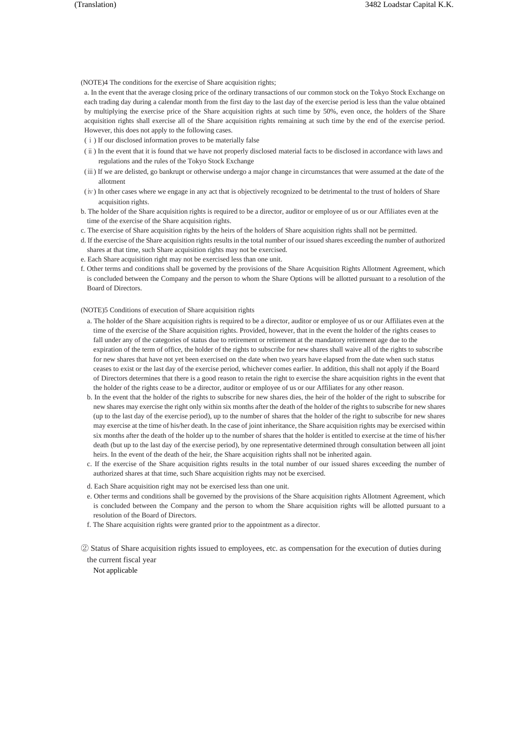(NOTE)4 The conditions for the exercise of Share acquisition rights;

a. In the event that the average closing price of the ordinary transactions of our common stock on the Tokyo Stock Exchange on each trading day during a calendar month from the first day to the last day of the exercise period is less than the value obtained by multiplying the exercise price of the Share acquisition rights at such time by 50%, even once, the holders of the Share acquisition rights shall exercise all of the Share acquisition rights remaining at such time by the end of the exercise period. However, this does not apply to the following cases.

- (ⅰ) If our disclosed information proves to be materially false
- (ⅱ) In the event that it is found that we have not properly disclosed material facts to be disclosed in accordance with laws and regulations and the rules of the Tokyo Stock Exchange
- (ⅲ) If we are delisted, go bankrupt or otherwise undergo a major change in circumstances that were assumed at the date of the allotment
- (ⅳ) In other cases where we engage in any act that is objectively recognized to be detrimental to the trust of holders of Share acquisition rights.
- b. The holder of the Share acquisition rights is required to be a director, auditor or employee of us or our Affiliates even at the time of the exercise of the Share acquisition rights.
- c. The exercise of Share acquisition rights by the heirs of the holders of Share acquisition rights shall not be permitted.
- d. If the exercise of the Share acquisition rights results in the total number of our issued shares exceeding the number of authorized shares at that time, such Share acquisition rights may not be exercised.
- e. Each Share acquisition right may not be exercised less than one unit.
- f. Other terms and conditions shall be governed by the provisions of the Share Acquisition Rights Allotment Agreement, which is concluded between the Company and the person to whom the Share Options will be allotted pursuant to a resolution of the Board of Directors.

(NOTE)5 Conditions of execution of Share acquisition rights

- a. The holder of the Share acquisition rights is required to be a director, auditor or employee of us or our Affiliates even at the time of the exercise of the Share acquisition rights. Provided, however, that in the event the holder of the rights ceases to fall under any of the categories of status due to retirement or retirement at the mandatory retirement age due to the expiration of the term of office, the holder of the rights to subscribe for new shares shall waive all of the rights to subscribe for new shares that have not yet been exercised on the date when two years have elapsed from the date when such status ceases to exist or the last day of the exercise period, whichever comes earlier. In addition, this shall not apply if the Board of Directors determines that there is a good reason to retain the right to exercise the share acquisition rights in the event that the holder of the rights cease to be a director, auditor or employee of us or our Affiliates for any other reason.
- b. In the event that the holder of the rights to subscribe for new shares dies, the heir of the holder of the right to subscribe for new shares may exercise the right only within six months after the death of the holder of the rights to subscribe for new shares (up to the last day of the exercise period), up to the number of shares that the holder of the right to subscribe for new shares may exercise at the time of his/her death. In the case of joint inheritance, the Share acquisition rights may be exercised within six months after the death of the holder up to the number of shares that the holder is entitled to exercise at the time of his/her death (but up to the last day of the exercise period), by one representative determined through consultation between all joint heirs. In the event of the death of the heir, the Share acquisition rights shall not be inherited again.
- c. If the exercise of the Share acquisition rights results in the total number of our issued shares exceeding the number of authorized shares at that time, such Share acquisition rights may not be exercised.
- d. Each Share acquisition right may not be exercised less than one unit.
- e. Other terms and conditions shall be governed by the provisions of the Share acquisition rights Allotment Agreement, which is concluded between the Company and the person to whom the Share acquisition rights will be allotted pursuant to a resolution of the Board of Directors.
- f. The Share acquisition rights were granted prior to the appointment as a director.

② Status of Share acquisition rights issued to employees, etc. as compensation for the execution of duties during the current fiscal year

Not applicable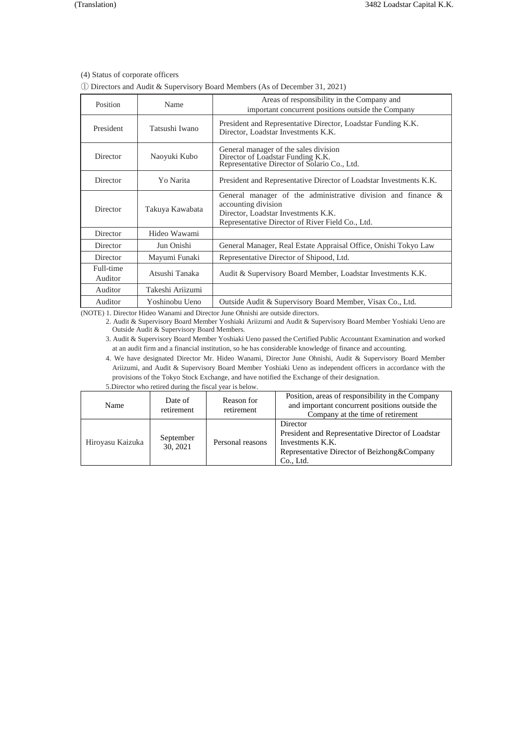(4) Status of corporate officers

① Directors and Audit & Supervisory Board Members (As of December 31, 2021)

| Position             | Name             | Areas of responsibility in the Company and<br>important concurrent positions outside the Company                                                                               |  |
|----------------------|------------------|--------------------------------------------------------------------------------------------------------------------------------------------------------------------------------|--|
| President            | Tatsushi Iwano   | President and Representative Director, Loadstar Funding K.K.<br>Director, Loadstar Investments K.K.                                                                            |  |
| Director             | Naoyuki Kubo     | General manager of the sales division<br>Director of Loadstar Funding K.K.<br>Representative Director of Solario Co., Ltd.                                                     |  |
| Director             | Yo Narita        | President and Representative Director of Loadstar Investments K.K.                                                                                                             |  |
| Director             | Takuya Kawabata  | General manager of the administrative division and finance &<br>accounting division<br>Director, Loadstar Investments K.K.<br>Representative Director of River Field Co., Ltd. |  |
| Director             | Hideo Wawami     |                                                                                                                                                                                |  |
| Director             | Jun Onishi       | General Manager, Real Estate Appraisal Office, Onishi Tokyo Law                                                                                                                |  |
| Director             | Mayumi Funaki    | Representative Director of Shipood, Ltd.                                                                                                                                       |  |
| Full-time<br>Auditor | Atsushi Tanaka   | Audit & Supervisory Board Member, Loadstar Investments K.K.                                                                                                                    |  |
| Auditor              | Takeshi Ariizumi |                                                                                                                                                                                |  |
| Auditor              | Yoshinobu Ueno   | Outside Audit & Supervisory Board Member, Visax Co., Ltd.                                                                                                                      |  |

(NOTE) 1. Director Hideo Wanami and Director June Ohnishi are outside directors.

2. Audit & Supervisory Board Member Yoshiaki Ariizumi and Audit & Supervisory Board Member Yoshiaki Ueno are Outside Audit & Supervisory Board Members.

3. Audit & Supervisory Board Member Yoshiaki Ueno passed the Certified Public Accountant Examination and worked at an audit firm and a financial institution, so he has considerable knowledge of finance and accounting.

4. We have designated Director Mr. Hideo Wanami, Director June Ohnishi, Audit & Supervisory Board Member Ariizumi, and Audit & Supervisory Board Member Yoshiaki Ueno as independent officers in accordance with the provisions of the Tokyo Stock Exchange, and have notified the Exchange of their designation. 5.Director who retired during the fiscal year is below.

| Name             | Date of<br>retirement | Reason for<br>retirement | Position, areas of responsibility in the Company<br>and important concurrent positions outside the<br>Company at the time of retirement         |
|------------------|-----------------------|--------------------------|-------------------------------------------------------------------------------------------------------------------------------------------------|
| Hiroyasu Kaizuka | September<br>30, 2021 | Personal reasons         | Director<br>President and Representative Director of Loadstar<br>Investments K.K.<br>Representative Director of Beizhong & Company<br>Co., Ltd. |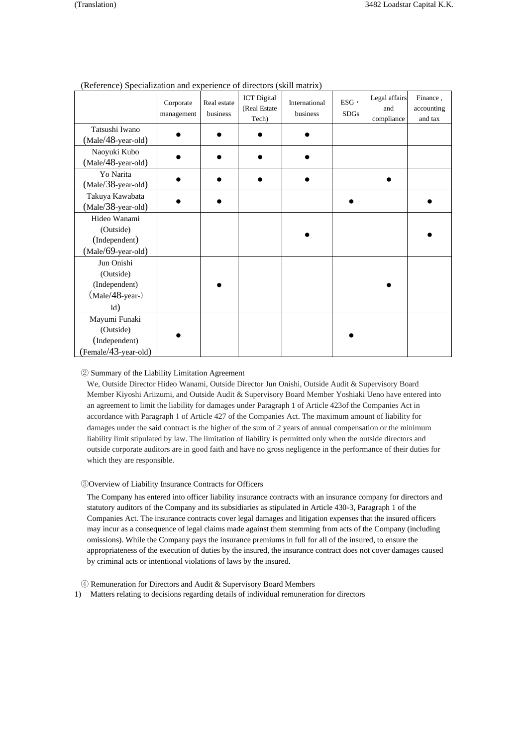|                                                                      | Corporate<br>management | Real estate<br>business | <b>ICT</b> Digital<br>(Real Estate<br>Tech) | International<br>business | $ESG$ .<br><b>SDGs</b> | Legal affairs<br>and<br>compliance | Finance,<br>accounting<br>and tax |
|----------------------------------------------------------------------|-------------------------|-------------------------|---------------------------------------------|---------------------------|------------------------|------------------------------------|-----------------------------------|
| Tatsushi Iwano<br>(Male/48-year-old)                                 |                         |                         |                                             |                           |                        |                                    |                                   |
| Naoyuki Kubo<br>(Male/48-year-old)                                   |                         |                         |                                             |                           |                        |                                    |                                   |
| Yo Narita<br>(Male/38-year-old)                                      |                         |                         |                                             |                           |                        |                                    |                                   |
| Takuya Kawabata<br>(Male/38-year-old)                                |                         |                         |                                             |                           |                        |                                    |                                   |
| Hideo Wanami<br>(Outside)<br>(Independent)<br>(Male/69-year-old)     |                         |                         |                                             |                           |                        |                                    |                                   |
| Jun Onishi<br>(Outside)<br>(Independent)<br>$(Male/48-year-)$<br>ld) |                         |                         |                                             |                           |                        |                                    |                                   |
| Mayumi Funaki<br>(Outside)<br>(Independent)<br>(Female/43-year-old)  |                         |                         |                                             |                           |                        |                                    |                                   |

# (Reference) Specialization and experience of directors (skill matrix)

### ② Summary of the Liability Limitation Agreement

We, Outside Director Hideo Wanami, Outside Director Jun Onishi, Outside Audit & Supervisory Board Member Kiyoshi Ariizumi, and Outside Audit & Supervisory Board Member Yoshiaki Ueno have entered into an agreement to limit the liability for damages under Paragraph 1 of Article 423of the Companies Act in accordance with Paragraph 1 of Article 427 of the Companies Act. The maximum amount of liability for damages under the said contract is the higher of the sum of 2 years of annual compensation or the minimum liability limit stipulated by law. The limitation of liability is permitted only when the outside directors and outside corporate auditors are in good faith and have no gross negligence in the performance of their duties for which they are responsible.

### ③Overview of Liability Insurance Contracts for Officers

The Company has entered into officer liability insurance contracts with an insurance company for directors and statutory auditors of the Company and its subsidiaries as stipulated in Article 430-3, Paragraph 1 of the Companies Act. The insurance contracts cover legal damages and litigation expenses that the insured officers may incur as a consequence of legal claims made against them stemming from acts of the Company (including omissions). While the Company pays the insurance premiums in full for all of the insured, to ensure the appropriateness of the execution of duties by the insured, the insurance contract does not cover damages caused by criminal acts or intentional violations of laws by the insured.

- ④ Remuneration for Directors and Audit & Supervisory Board Members
- 1) Matters relating to decisions regarding details of individual remuneration for directors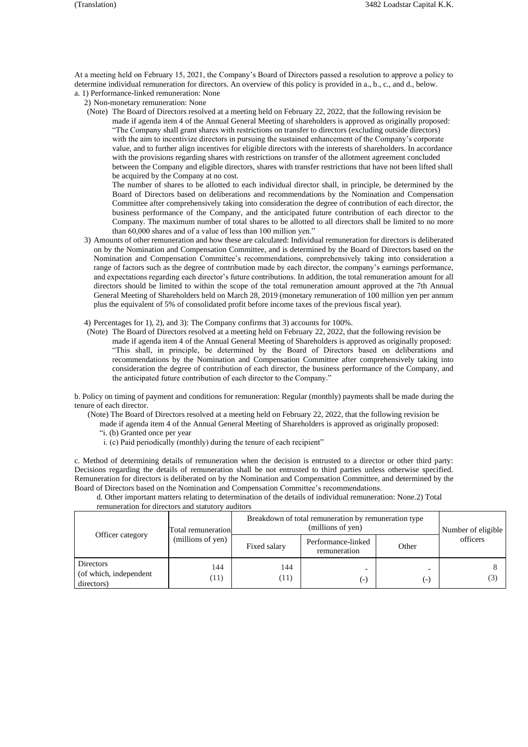At a meeting held on February 15, 2021, the Company's Board of Directors passed a resolution to approve a policy to determine individual remuneration for directors. An overview of this policy is provided in a., b., c., and d., below. a. 1) Performance-linked remuneration: None

2) Non-monetary remuneration: None

(Note) The Board of Directors resolved at a meeting held on February 22, 2022, that the following revision be made if agenda item 4 of the Annual General Meeting of shareholders is approved as originally proposed: "The Company shall grant shares with restrictions on transfer to directors (excluding outside directors) with the aim to incentivize directors in pursuing the sustained enhancement of the Company's corporate value, and to further align incentives for eligible directors with the interests of shareholders. In accordance with the provisions regarding shares with restrictions on transfer of the allotment agreement concluded between the Company and eligible directors, shares with transfer restrictions that have not been lifted shall be acquired by the Company at no cost.

The number of shares to be allotted to each individual director shall, in principle, be determined by the Board of Directors based on deliberations and recommendations by the Nomination and Compensation Committee after comprehensively taking into consideration the degree of contribution of each director, the business performance of the Company, and the anticipated future contribution of each director to the Company. The maximum number of total shares to be allotted to all directors shall be limited to no more than 60,000 shares and of a value of less than 100 million yen."

- 3) Amounts of other remuneration and how these are calculated: Individual remuneration for directors is deliberated on by the Nomination and Compensation Committee, and is determined by the Board of Directors based on the Nomination and Compensation Committee's recommendations, comprehensively taking into consideration a range of factors such as the degree of contribution made by each director, the company's earnings performance, and expectations regarding each director's future contributions. In addition, the total remuneration amount for all directors should be limited to within the scope of the total remuneration amount approved at the 7th Annual General Meeting of Shareholders held on March 28, 2019 (monetary remuneration of 100 million yen per annum plus the equivalent of 5% of consolidated profit before income taxes of the previous fiscal year).
- 4) Percentages for 1), 2), and 3): The Company confirms that 3) accounts for 100%.
- (Note) The Board of Directors resolved at a meeting held on February 22, 2022, that the following revision be made if agenda item 4 of the Annual General Meeting of Shareholders is approved as originally proposed: "This shall, in principle, be determined by the Board of Directors based on deliberations and recommendations by the Nomination and Compensation Committee after comprehensively taking into consideration the degree of contribution of each director, the business performance of the Company, and the anticipated future contribution of each director to the Company."

b. Policy on timing of payment and conditions for remuneration: Regular (monthly) payments shall be made during the tenure of each director.

(Note) The Board of Directors resolved at a meeting held on February 22, 2022, that the following revision be

made if agenda item 4 of the Annual General Meeting of Shareholders is approved as originally proposed:

"i. (b) Granted once per year

i. (c) Paid periodically (monthly) during the tenure of each recipient"

c. Method of determining details of remuneration when the decision is entrusted to a director or other third party: Decisions regarding the details of remuneration shall be not entrusted to third parties unless otherwise specified. Remuneration for directors is deliberated on by the Nomination and Compensation Committee, and determined by the Board of Directors based on the Nomination and Compensation Committee's recommendations.

d. Other important matters relating to determination of the details of individual remuneration: None.2) Total remuneration for directors and statutory auditors

|                                                          | Total remuneration |              | Breakdown of total remuneration by remuneration type<br>(millions of yen) |       | Number of eligible |
|----------------------------------------------------------|--------------------|--------------|---------------------------------------------------------------------------|-------|--------------------|
| Officer category                                         | (millions of yen)  | Fixed salary | Performance-linked<br>remuneration                                        | Other | officers           |
| <b>Directors</b><br>(of which, independent<br>directors) | 144<br>(11)        | 144<br>(11)  | (-)                                                                       | $(-)$ | (3)                |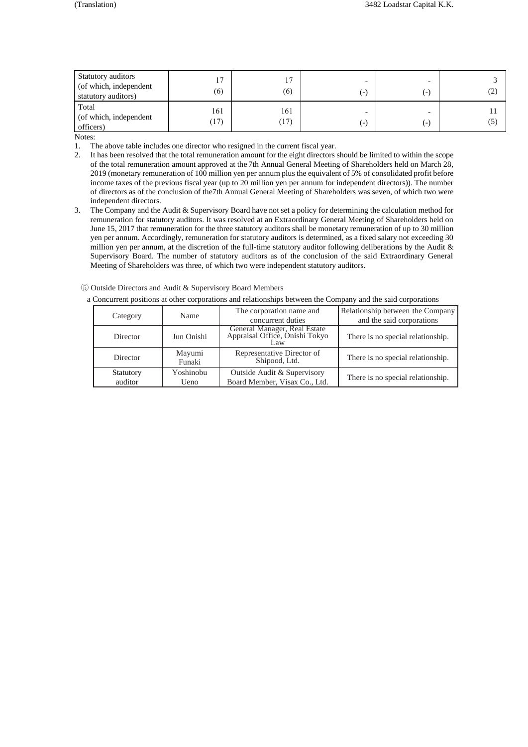| Total<br>161<br>161                                | Statutory auditors<br>(of which, independent<br>statutory auditors) | 17<br>(6) | 7،<br>(6) | $\left( -\right)$ | . – | ے ) |
|----------------------------------------------------|---------------------------------------------------------------------|-----------|-----------|-------------------|-----|-----|
| $\Box$<br>$\left( -\right)$<br>officers)<br>Notes: | (of which, independent                                              | (17)      | (17)      |                   |     | (5) |

- 1. The above table includes one director who resigned in the current fiscal year.<br>2. It has been resolved that the total remuneration amount for the eight directors 2. It has been resolved that the total remuneration amount for the eight directors should be limited to within the scope of the total remuneration amount approved at the 7th Annual General Meeting of Shareholders held on March 28, 2019 (monetary remuneration of 100 million yen per annum plus the equivalent of 5% of consolidated profit before income taxes of the previous fiscal year (up to 20 million yen per annum for independent directors)). The number of directors as of the conclusion of the7th Annual General Meeting of Shareholders was seven, of which two were independent directors.
- 3. The Company and the Audit & Supervisory Board have not set a policy for determining the calculation method for remuneration for statutory auditors. It was resolved at an Extraordinary General Meeting of Shareholders held on June 15, 2017 that remuneration for the three statutory auditors shall be monetary remuneration of up to 30 million yen per annum. Accordingly, remuneration for statutory auditors is determined, as a fixed salary not exceeding 30 million yen per annum, at the discretion of the full-time statutory auditor following deliberations by the Audit & Supervisory Board. The number of statutory auditors as of the conclusion of the said Extraordinary General Meeting of Shareholders was three, of which two were independent statutory auditors.

| 5 Outside Directors and Audit & Supervisory Board Members |  |
|-----------------------------------------------------------|--|
|-----------------------------------------------------------|--|

|          |                      | Name              | The corporation name and                                              | Relationship between the Company  |
|----------|----------------------|-------------------|-----------------------------------------------------------------------|-----------------------------------|
| Category |                      |                   | concurrent duties                                                     | and the said corporations         |
|          | Director             | Jun Onishi        | General Manager, Real Estate<br>Appraisal Office, Onishi Tokyo<br>Law | There is no special relationship. |
|          | Director             | Mayumi<br>Funaki  | Representative Director of<br>Shipood, Ltd.                           | There is no special relationship. |
|          | Statutory<br>auditor | Yoshinobu<br>Ueno | Outside Audit & Supervisory<br>Board Member, Visax Co., Ltd.          | There is no special relationship. |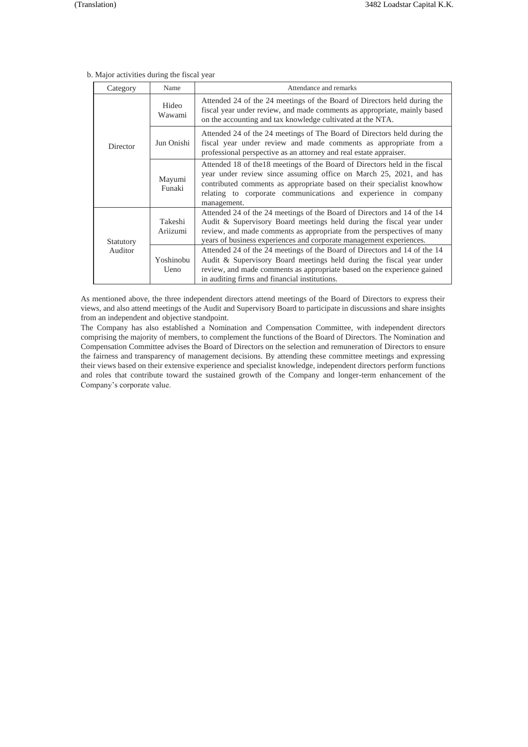| Category  | Name                | Attendance and remarks                                                                                                                                                                                                                                                                                     |  |
|-----------|---------------------|------------------------------------------------------------------------------------------------------------------------------------------------------------------------------------------------------------------------------------------------------------------------------------------------------------|--|
|           | Hideo<br>Wawami     | Attended 24 of the 24 meetings of the Board of Directors held during the<br>fiscal year under review, and made comments as appropriate, mainly based<br>on the accounting and tax knowledge cultivated at the NTA.                                                                                         |  |
| Director  | Jun Onishi          | Attended 24 of the 24 meetings of The Board of Directors held during the<br>fiscal year under review and made comments as appropriate from a<br>professional perspective as an attorney and real estate appraiser.                                                                                         |  |
|           | Mayumi<br>Funaki    | Attended 18 of the18 meetings of the Board of Directors held in the fiscal<br>year under review since assuming office on March 25, 2021, and has<br>contributed comments as appropriate based on their specialist knowhow<br>relating to corporate communications and experience in company<br>management. |  |
| Statutory | Takeshi<br>Ariizumi | Attended 24 of the 24 meetings of the Board of Directors and 14 of the 14<br>Audit & Supervisory Board meetings held during the fiscal year under<br>review, and made comments as appropriate from the perspectives of many<br>years of business experiences and corporate management experiences.         |  |
| Auditor   | Yoshinobu<br>Ueno   | Attended 24 of the 24 meetings of the Board of Directors and 14 of the 14<br>Audit & Supervisory Board meetings held during the fiscal year under<br>review, and made comments as appropriate based on the experience gained<br>in auditing firms and financial institutions.                              |  |

### b. Major activities during the fiscal year

As mentioned above, the three independent directors attend meetings of the Board of Directors to express their views, and also attend meetings of the Audit and Supervisory Board to participate in discussions and share insights from an independent and objective standpoint.

The Company has also established a Nomination and Compensation Committee, with independent directors comprising the majority of members, to complement the functions of the Board of Directors. The Nomination and Compensation Committee advises the Board of Directors on the selection and remuneration of Directors to ensure the fairness and transparency of management decisions. By attending these committee meetings and expressing their views based on their extensive experience and specialist knowledge, independent directors perform functions and roles that contribute toward the sustained growth of the Company and longer-term enhancement of the Company's corporate value.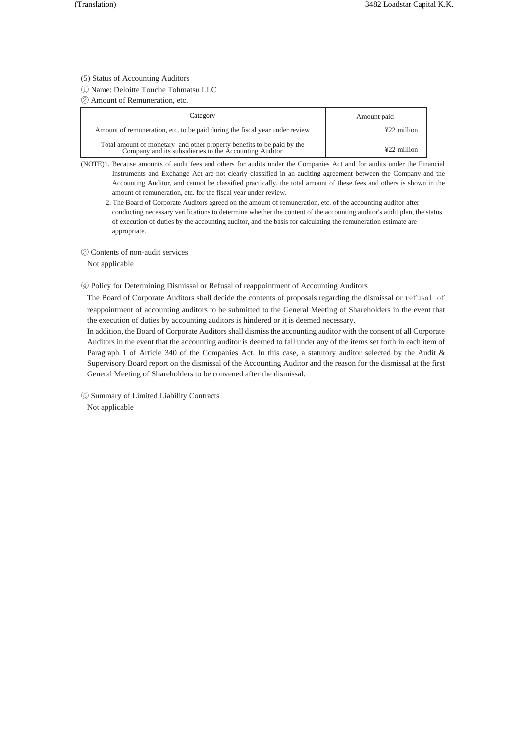(5) Status of Accounting Auditors

① Name: Deloitte Touche Tohmatsu LLC

② Amount of Remuneration, etc.

| Category                                                                                                                         | Amount paid   |
|----------------------------------------------------------------------------------------------------------------------------------|---------------|
| Amount of remuneration, etc. to be paid during the fiscal year under review                                                      | $422$ million |
| Total amount of monetary and other property benefits to be paid by the<br>Company and its subsidiaries to the Accounting Auditor | ¥22 million   |

(NOTE)1. Because amounts of audit fees and others for audits under the Companies Act and for audits under the Financial Instruments and Exchange Act are not clearly classified in an auditing agreement between the Company and the Accounting Auditor, and cannot be classified practically, the total amount of these fees and others is shown in the amount of remuneration, etc. for the fiscal year under review.

2. The Board of Corporate Auditors agreed on the amount of remuneration, etc. of the accounting auditor after conducting necessary verifications to determine whether the content of the accounting auditor's audit plan, the status of execution of duties by the accounting auditor, and the basis for calculating the remuneration estimate are appropriate.

③ Contents of non-audit services

Not applicable

④ Policy for Determining Dismissal or Refusal of reappointment of Accounting Auditors

The Board of Corporate Auditors shall decide the contents of proposals regarding the dismissal or refusal of reappointment of accounting auditors to be submitted to the General Meeting of Shareholders in the event that the execution of duties by accounting auditors is hindered or it is deemed necessary.

In addition, the Board of Corporate Auditors shall dismiss the accounting auditor with the consent of all Corporate Auditors in the event that the accounting auditor is deemed to fall under any of the items set forth in each item of Paragraph 1 of Article 340 of the Companies Act. In this case, a statutory auditor selected by the Audit & Supervisory Board report on the dismissal of the Accounting Auditor and the reason for the dismissal at the first General Meeting of Shareholders to be convened after the dismissal.

⑤ Summary of Limited Liability Contracts Not applicable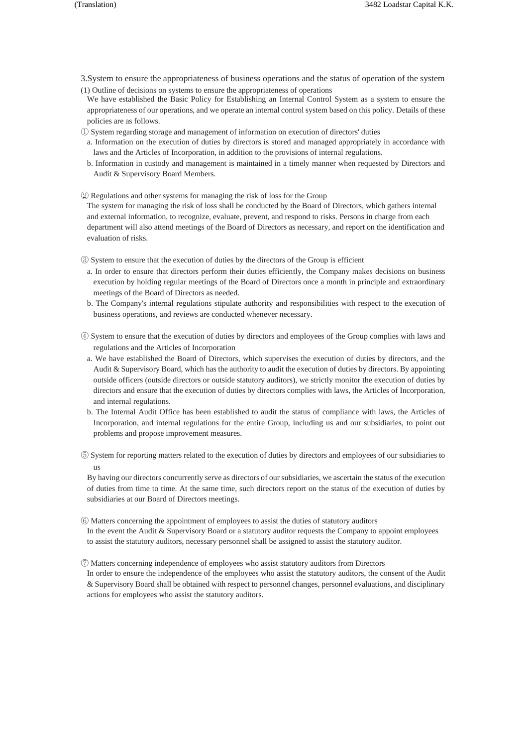- 3.System to ensure the appropriateness of business operations and the status of operation of the system (1) Outline of decisions on systems to ensure the appropriateness of operations
- We have established the Basic Policy for Establishing an Internal Control System as a system to ensure the appropriateness of our operations, and we operate an internal control system based on this policy. Details of these policies are as follows.
- ① System regarding storage and management of information on execution of directors' duties
- a. Information on the execution of duties by directors is stored and managed appropriately in accordance with laws and the Articles of Incorporation, in addition to the provisions of internal regulations.
- b. Information in custody and management is maintained in a timely manner when requested by Directors and Audit & Supervisory Board Members.
- ② Regulations and other systems for managing the risk of loss for the Group

The system for managing the risk of loss shall be conducted by the Board of Directors, which gathers internal and external information, to recognize, evaluate, prevent, and respond to risks. Persons in charge from each department will also attend meetings of the Board of Directors as necessary, and report on the identification and evaluation of risks.

- ③ System to ensure that the execution of duties by the directors of the Group is efficient
- a. In order to ensure that directors perform their duties efficiently, the Company makes decisions on business execution by holding regular meetings of the Board of Directors once a month in principle and extraordinary meetings of the Board of Directors as needed.
- b. The Company's internal regulations stipulate authority and responsibilities with respect to the execution of business operations, and reviews are conducted whenever necessary.
- ④ System to ensure that the execution of duties by directors and employees of the Group complies with laws and regulations and the Articles of Incorporation
- a. We have established the Board of Directors, which supervises the execution of duties by directors, and the Audit & Supervisory Board, which has the authority to audit the execution of duties by directors. By appointing outside officers (outside directors or outside statutory auditors), we strictly monitor the execution of duties by directors and ensure that the execution of duties by directors complies with laws, the Articles of Incorporation, and internal regulations.
- b. The Internal Audit Office has been established to audit the status of compliance with laws, the Articles of Incorporation, and internal regulations for the entire Group, including us and our subsidiaries, to point out problems and propose improvement measures.
- ⑤ System for reporting matters related to the execution of duties by directors and employees of our subsidiaries to us

By having our directors concurrently serve as directors of our subsidiaries, we ascertain the status of the execution of duties from time to time. At the same time, such directors report on the status of the execution of duties by subsidiaries at our Board of Directors meetings.

- ⑥ Matters concerning the appointment of employees to assist the duties of statutory auditors In the event the Audit & Supervisory Board or a statutory auditor requests the Company to appoint employees to assist the statutory auditors, necessary personnel shall be assigned to assist the statutory auditor.
- ⑦ Matters concerning independence of employees who assist statutory auditors from Directors In order to ensure the independence of the employees who assist the statutory auditors, the consent of the Audit & Supervisory Board shall be obtained with respect to personnel changes, personnel evaluations, and disciplinary actions for employees who assist the statutory auditors.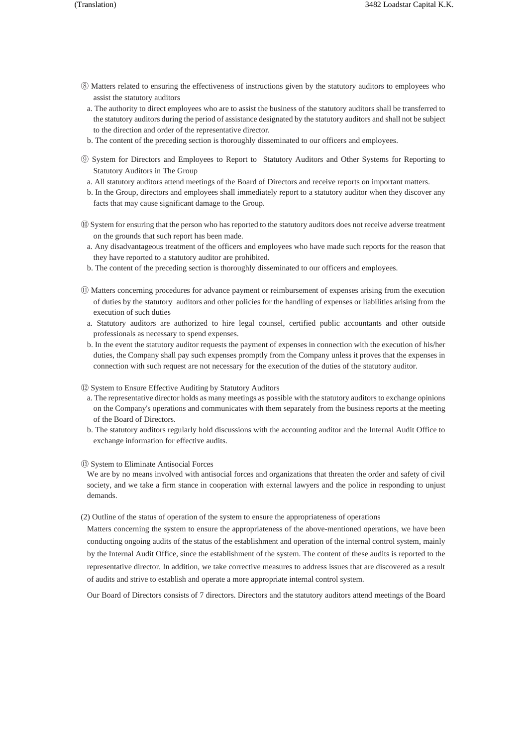- ⑧ Matters related to ensuring the effectiveness of instructions given by the statutory auditors to employees who assist the statutory auditors
	- a. The authority to direct employees who are to assist the business of the statutory auditors shall be transferred to the statutory auditors during the period of assistance designated by the statutory auditors and shall not be subject to the direction and order of the representative director.
- b. The content of the preceding section is thoroughly disseminated to our officers and employees.
- ⑨ System for Directors and Employees to Report to Statutory Auditors and Other Systems for Reporting to Statutory Auditors in The Group
- a. All statutory auditors attend meetings of the Board of Directors and receive reports on important matters.
- b. In the Group, directors and employees shall immediately report to a statutory auditor when they discover any facts that may cause significant damage to the Group.
- ⑩ System for ensuring that the person who has reported to the statutory auditors does not receive adverse treatment on the grounds that such report has been made.
- a. Any disadvantageous treatment of the officers and employees who have made such reports for the reason that they have reported to a statutory auditor are prohibited.
- b. The content of the preceding section is thoroughly disseminated to our officers and employees.
- ⑪ Matters concerning procedures for advance payment or reimbursement of expenses arising from the execution of duties by the statutory auditors and other policies for the handling of expenses or liabilities arising from the execution of such duties
- a. Statutory auditors are authorized to hire legal counsel, certified public accountants and other outside professionals as necessary to spend expenses.
- b. In the event the statutory auditor requests the payment of expenses in connection with the execution of his/her duties, the Company shall pay such expenses promptly from the Company unless it proves that the expenses in connection with such request are not necessary for the execution of the duties of the statutory auditor.
- ⑫ System to Ensure Effective Auditing by Statutory Auditors
	- a. The representative director holds as many meetings as possible with the statutory auditors to exchange opinions on the Company's operations and communicates with them separately from the business reports at the meeting of the Board of Directors.
- b. The statutory auditors regularly hold discussions with the accounting auditor and the Internal Audit Office to exchange information for effective audits.
- ⑬ System to Eliminate Antisocial Forces

We are by no means involved with antisocial forces and organizations that threaten the order and safety of civil society, and we take a firm stance in cooperation with external lawyers and the police in responding to unjust demands.

(2) Outline of the status of operation of the system to ensure the appropriateness of operations

Matters concerning the system to ensure the appropriateness of the above-mentioned operations, we have been conducting ongoing audits of the status of the establishment and operation of the internal control system, mainly by the Internal Audit Office, since the establishment of the system. The content of these audits is reported to the representative director. In addition, we take corrective measures to address issues that are discovered as a result of audits and strive to establish and operate a more appropriate internal control system.

Our Board of Directors consists of 7 directors. Directors and the statutory auditors attend meetings of the Board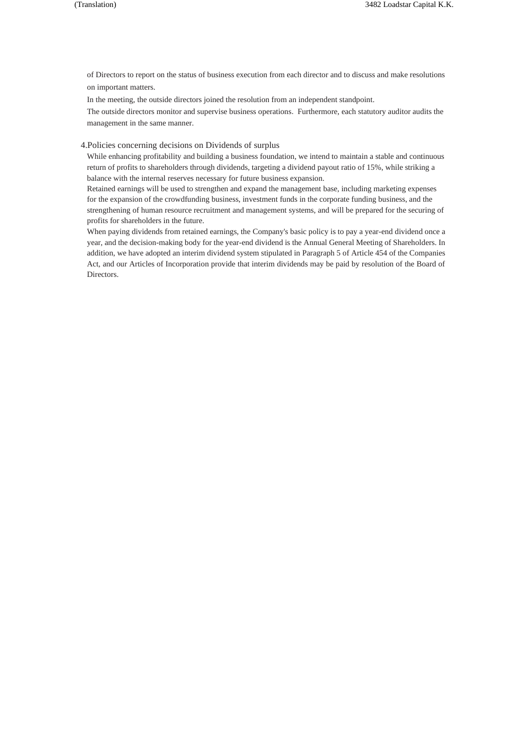of Directors to report on the status of business execution from each director and to discuss and make resolutions on important matters.

In the meeting, the outside directors joined the resolution from an independent standpoint.

The outside directors monitor and supervise business operations. Furthermore, each statutory auditor audits the management in the same manner.

4.Policies concerning decisions on Dividends of surplus

While enhancing profitability and building a business foundation, we intend to maintain a stable and continuous return of profits to shareholders through dividends, targeting a dividend payout ratio of 15%, while striking a balance with the internal reserves necessary for future business expansion.

Retained earnings will be used to strengthen and expand the management base, including marketing expenses for the expansion of the crowdfunding business, investment funds in the corporate funding business, and the strengthening of human resource recruitment and management systems, and will be prepared for the securing of profits for shareholders in the future.

When paying dividends from retained earnings, the Company's basic policy is to pay a year-end dividend once a year, and the decision-making body for the year-end dividend is the Annual General Meeting of Shareholders. In addition, we have adopted an interim dividend system stipulated in Paragraph 5 of Article 454 of the Companies Act, and our Articles of Incorporation provide that interim dividends may be paid by resolution of the Board of Directors.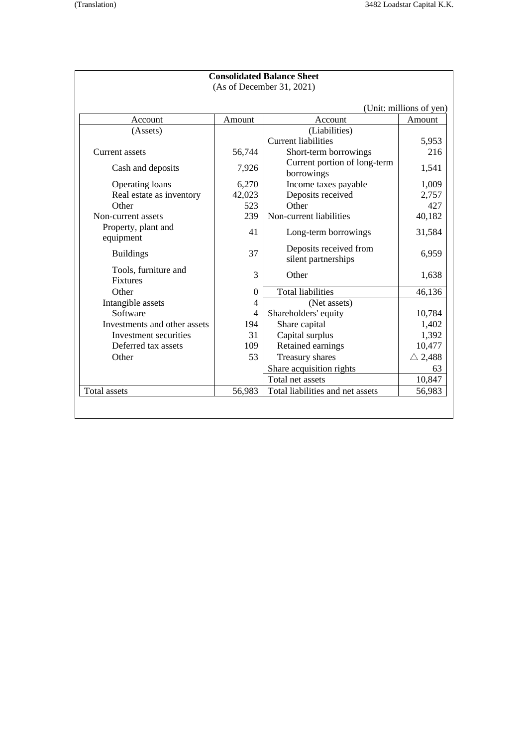|                                         |                | <b>Consolidated Balance Sheet</b>             |                         |
|-----------------------------------------|----------------|-----------------------------------------------|-------------------------|
|                                         |                | (As of December 31, 2021)                     |                         |
|                                         |                |                                               | (Unit: millions of yen) |
| Account                                 | Amount         | Account                                       | Amount                  |
| (Assets)                                |                | (Liabilities)                                 |                         |
|                                         |                | <b>Current liabilities</b>                    | 5,953                   |
| Current assets                          | 56,744         | Short-term borrowings                         | 216                     |
| Cash and deposits                       | 7,926          | Current portion of long-term<br>borrowings    | 1,541                   |
| Operating loans                         | 6,270          | Income taxes payable                          | 1,009                   |
| Real estate as inventory                | 42,023         | Deposits received                             | 2,757                   |
| Other                                   | 523            | Other                                         | 427                     |
| Non-current assets                      | 239            | Non-current liabilities                       | 40,182                  |
| Property, plant and<br>equipment        | 41             | Long-term borrowings                          | 31,584                  |
| <b>Buildings</b>                        | 37             | Deposits received from<br>silent partnerships | 6,959                   |
| Tools, furniture and<br><b>Fixtures</b> | 3              | Other                                         | 1,638                   |
| Other                                   | $\Omega$       | Total liabilities                             | 46,136                  |
| Intangible assets                       | $\overline{4}$ | (Net assets)                                  |                         |
| Software                                | 4              | Shareholders' equity                          | 10,784                  |
| Investments and other assets            | 194            | Share capital                                 | 1,402                   |
| Investment securities                   | 31             | Capital surplus                               | 1,392                   |
| Deferred tax assets                     | 109            | Retained earnings                             | 10,477                  |
| Other                                   | 53             | Treasury shares                               | $\triangle$ 2,488       |
|                                         |                | Share acquisition rights                      | 63                      |
|                                         |                | Total net assets                              | 10,847                  |
| <b>Total</b> assets                     | 56,983         | Total liabilities and net assets              | 56,983                  |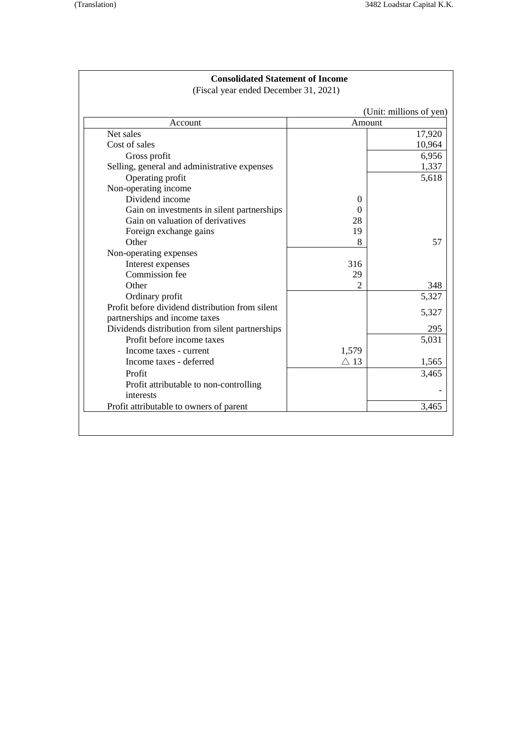# **Consolidated Statement of Income**

(Fiscal year ended December 31, 2021)

| Account                                         | Amount            |        |
|-------------------------------------------------|-------------------|--------|
| Net sales                                       |                   | 17,920 |
| Cost of sales                                   |                   | 10,964 |
| Gross profit                                    |                   | 6,956  |
| Selling, general and administrative expenses    |                   | 1,337  |
| Operating profit                                |                   | 5,618  |
| Non-operating income                            |                   |        |
| Dividend income                                 | $\theta$          |        |
| Gain on investments in silent partnerships      | $\mathbf{\Omega}$ |        |
| Gain on valuation of derivatives                | 28                |        |
| Foreign exchange gains                          | 19                |        |
| Other                                           | 8                 |        |
| Non-operating expenses                          |                   |        |
| Interest expenses                               | 316               |        |
| Commission fee                                  | 29                |        |
| Other                                           | 2                 |        |
| Ordinary profit                                 |                   | 5,327  |
| Profit before dividend distribution from silent |                   | 5,327  |
| partnerships and income taxes                   |                   |        |
| Dividends distribution from silent partnerships |                   |        |
| Profit before income taxes                      |                   | 5,031  |
| Income taxes - current                          | 1,579             |        |
| Income taxes - deferred                         | $\triangle$ 13    | 1,565  |
| Profit                                          |                   | 3,465  |
| Profit attributable to non-controlling          |                   |        |
| interests                                       |                   |        |
| Profit attributable to owners of parent         |                   | 3,465  |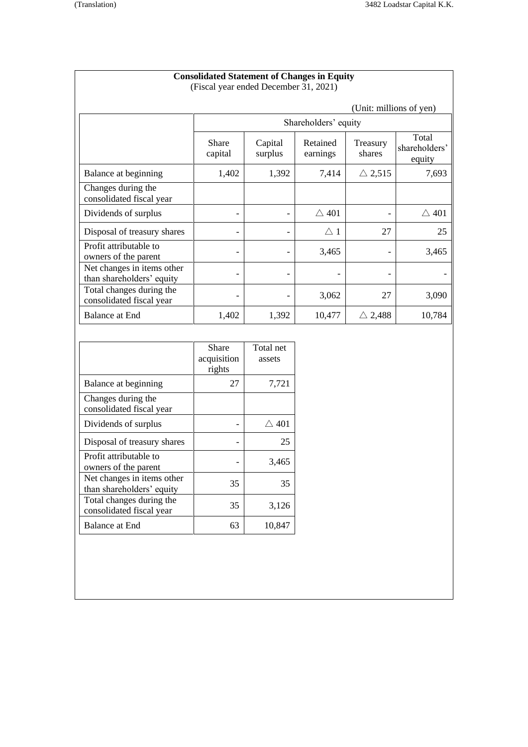Profit attributable to owners of the parent

Net changes in items other <br>than shareholders' equity 135 35

Total changes during the <br>
consolidated fiscal year 35 3,126

Balance at End 63 10,847

| <b>Consolidated Statement of Changes in Equity</b><br>(Fiscal year ended December 31, 2021) |                                |                          |                      |                         |                                  |
|---------------------------------------------------------------------------------------------|--------------------------------|--------------------------|----------------------|-------------------------|----------------------------------|
|                                                                                             |                                |                          |                      | (Unit: millions of yen) |                                  |
|                                                                                             |                                |                          | Shareholders' equity |                         |                                  |
|                                                                                             | Share<br>capital               | Capital<br>surplus       | Retained<br>earnings | Treasury<br>shares      | Total<br>shareholders'<br>equity |
| Balance at beginning                                                                        | 1,402                          | 1,392                    | 7,414                | $\triangle$ 2,515       | 7,693                            |
| Changes during the<br>consolidated fiscal year                                              |                                |                          |                      |                         |                                  |
| Dividends of surplus                                                                        | $\overline{a}$                 | $\overline{\phantom{a}}$ | $\triangle$ 401      | $\overline{a}$          | $\triangle$ 401                  |
| Disposal of treasury shares                                                                 | $\qquad \qquad -$              | $\overline{\phantom{a}}$ | $\triangle$ 1        | 27                      | 25                               |
| Profit attributable to<br>owners of the parent                                              | $\qquad \qquad -$              |                          | 3,465                |                         | 3,465                            |
| Net changes in items other<br>than shareholders' equity                                     | $\overline{\phantom{a}}$       | $\overline{a}$           |                      |                         |                                  |
| Total changes during the<br>consolidated fiscal year                                        |                                |                          | 3,062                | 27                      | 3,090                            |
| <b>Balance at End</b>                                                                       | 1,402                          | 1,392                    | 10,477               | $\triangle$ 2,488       | 10,784                           |
|                                                                                             |                                |                          |                      |                         |                                  |
|                                                                                             | Share<br>acquisition<br>rights | Total net<br>assets      |                      |                         |                                  |
| Balance at beginning                                                                        | 27                             | 7,721                    |                      |                         |                                  |
| Changes during the<br>consolidated fiscal year                                              |                                |                          |                      |                         |                                  |
| Dividends of surplus                                                                        | $\qquad \qquad -$              | $\triangle$ 401          |                      |                         |                                  |
| Disposal of treasury shares                                                                 | $\overline{a}$                 | 25                       |                      |                         |                                  |

 $-$  3,465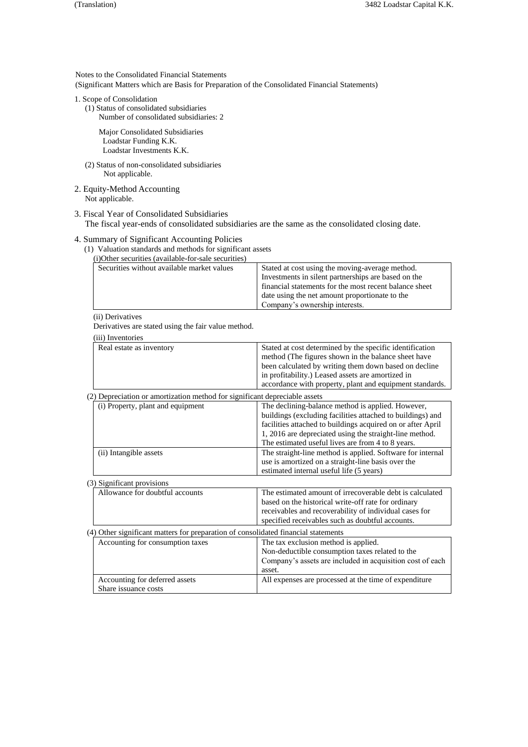Notes to the Consolidated Financial Statements (Significant Matters which are Basis for Preparation of the Consolidated Financial Statements)

- 1. Scope of Consolidation
	- (1) Status of consolidated subsidiaries Number of consolidated subsidiaries: 2

Major Consolidated Subsidiaries Loadstar Funding K.K. Loadstar Investments K.K.

- (2) Status of non-consolidated subsidiaries Not applicable.
- 2. Equity-Method Accounting Not applicable.
- 3. Fiscal Year of Consolidated Subsidiaries The fiscal year-ends of consolidated subsidiaries are the same as the consolidated closing date.

# 4. Summary of Significant Accounting Policies

(1) Valuation standards and methods for significant assets

(i)Other securities (available-for-sale securities)

| Stated at cost using the moving-average method.        |
|--------------------------------------------------------|
|                                                        |
| Investments in silent partnerships are based on the    |
| financial statements for the most recent balance sheet |
| date using the net amount proportionate to the         |
| Company's ownership interests.                         |
|                                                        |

# (ii) Derivatives

Derivatives are stated using the fair value method.

| (iii) Inventories                                                          |                                                                                                                                                                                                                                                                                           |
|----------------------------------------------------------------------------|-------------------------------------------------------------------------------------------------------------------------------------------------------------------------------------------------------------------------------------------------------------------------------------------|
| Real estate as inventory                                                   | Stated at cost determined by the specific identification<br>method (The figures shown in the balance sheet have<br>been calculated by writing them down based on decline<br>in profitability.) Leased assets are amortized in<br>accordance with property, plant and equipment standards. |
| (2) Depreciation or amortization method for significant depreciable assets |                                                                                                                                                                                                                                                                                           |
|                                                                            | $-1$ $-1$<br>$\cdots$                                                                                                                                                                                                                                                                     |

| (i) Property, plant and equipment                                                  | The declining-balance method is applied. However,           |
|------------------------------------------------------------------------------------|-------------------------------------------------------------|
|                                                                                    | buildings (excluding facilities attached to buildings) and  |
|                                                                                    | facilities attached to buildings acquired on or after April |
|                                                                                    | 1, 2016 are depreciated using the straight-line method.     |
|                                                                                    | The estimated useful lives are from 4 to 8 years.           |
| (ii) Intangible assets                                                             | The straight-line method is applied. Software for internal  |
|                                                                                    | use is amortized on a straight-line basis over the          |
|                                                                                    | estimated internal useful life (5 years)                    |
| (3) Significant provisions                                                         |                                                             |
| Allowance for doubtful accounts                                                    | The estimated amount of irrecoverable debt is calculated    |
|                                                                                    | based on the historical write-off rate for ordinary         |
|                                                                                    | receivables and recoverability of individual cases for      |
|                                                                                    | specified receivables such as doubtful accounts.            |
| (4) Other significant matters for preparation of consolidated financial statements |                                                             |
| Accounting for consumption taxes                                                   | The tax exclusion method is applied.                        |
|                                                                                    | Non-deductible consumption taxes related to the             |
|                                                                                    | Company's assets are included in acquisition cost of each   |
|                                                                                    | asset.                                                      |
| Accounting for deferred assets                                                     | All expenses are processed at the time of expenditure       |
| Share issuance costs                                                               |                                                             |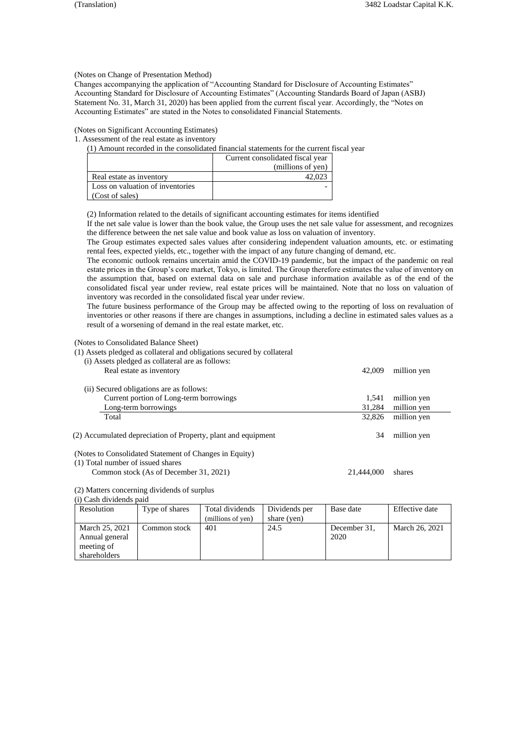(Notes on Change of Presentation Method)

Changes accompanying the application of "Accounting Standard for Disclosure of Accounting Estimates" Accounting Standard for Disclosure of Accounting Estimates" (Accounting Standards Board of Japan (ASBJ) Statement No. 31, March 31, 2020) has been applied from the current fiscal year. Accordingly, the "Notes on Accounting Estimates" are stated in the Notes to consolidated Financial Statements.

(Notes on Significant Accounting Estimates)

1. Assessment of the real estate as inventory

(1) Amount recorded in the consolidated financial statements for the current fiscal year

|                                  | Current consolidated fiscal year |
|----------------------------------|----------------------------------|
|                                  | (millions of yen)                |
| Real estate as inventory         |                                  |
| Loss on valuation of inventories |                                  |
| (Cost of sales)                  |                                  |

(2) Information related to the details of significant accounting estimates for items identified

If the net sale value is lower than the book value, the Group uses the net sale value for assessment, and recognizes the difference between the net sale value and book value as loss on valuation of inventory.

The Group estimates expected sales values after considering independent valuation amounts, etc. or estimating rental fees, expected yields, etc., together with the impact of any future changing of demand, etc.

The economic outlook remains uncertain amid the COVID-19 pandemic, but the impact of the pandemic on real estate prices in the Group's core market, Tokyo, is limited. The Group therefore estimates the value of inventory on the assumption that, based on external data on sale and purchase information available as of the end of the consolidated fiscal year under review, real estate prices will be maintained. Note that no loss on valuation of inventory was recorded in the consolidated fiscal year under review.

The future business performance of the Group may be affected owing to the reporting of loss on revaluation of inventories or other reasons if there are changes in assumptions, including a decline in estimated sales values as a result of a worsening of demand in the real estate market, etc.

(Notes to Consolidated Balance Sheet)

(1) Assets pledged as collateral and obligations secured by collateral

| (i) Assets pledged as collateral are as follows:<br>Real estate as inventory                | 42,009     | million yen |
|---------------------------------------------------------------------------------------------|------------|-------------|
| (ii) Secured obligations are as follows:                                                    |            |             |
| Current portion of Long-term borrowings                                                     | 1.541      | million yen |
| Long-term borrowings                                                                        | 31,284     | million yen |
| Total                                                                                       | 32,826     | million yen |
| (2) Accumulated depreciation of Property, plant and equipment                               | 34         | million yen |
| (Notes to Consolidated Statement of Changes in Equity)<br>(1) Total number of issued shares |            |             |
| Common stock (As of December 31, 2021)                                                      | 21.444.000 | shares      |

(2) Matters concerning dividends of surplus

(i) Cash dividends paid

| Resolution                                                     | Type of shares | Total dividends<br>(millions of yen) | Dividends per<br>share (yen) | Base date            | Effective date |
|----------------------------------------------------------------|----------------|--------------------------------------|------------------------------|----------------------|----------------|
| March 25, 2021<br>Annual general<br>meeting of<br>shareholders | Common stock   | 401                                  | 24.5                         | December 31.<br>2020 | March 26, 2021 |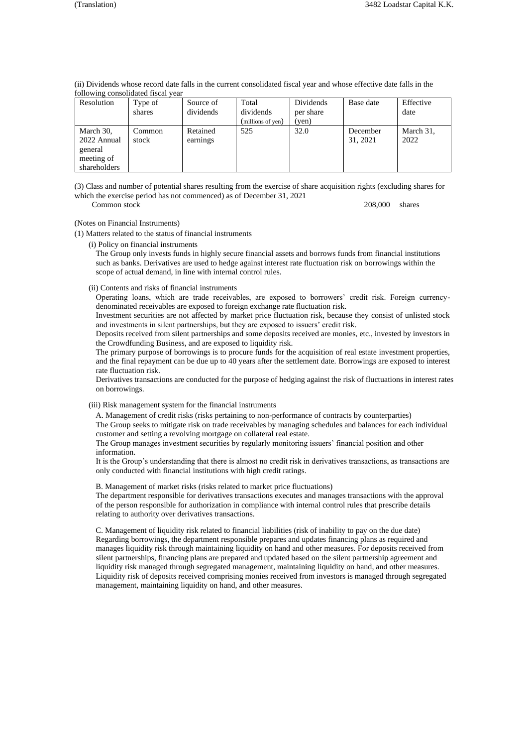| Resolution                                                        | Type of         | Source of            | Total             | Dividends | Base date            | Effective         |
|-------------------------------------------------------------------|-----------------|----------------------|-------------------|-----------|----------------------|-------------------|
|                                                                   | shares          | dividends            | dividends         | per share |                      | date              |
|                                                                   |                 |                      | (millions of yen) | (yen)     |                      |                   |
| March 30,<br>2022 Annual<br>general<br>meeting of<br>shareholders | Common<br>stock | Retained<br>earnings | 525               | 32.0      | December<br>31, 2021 | March 31,<br>2022 |

(ii) Dividends whose record date falls in the current consolidated fiscal year and whose effective date falls in the following consolidated fiscal year

(3) Class and number of potential shares resulting from the exercise of share acquisition rights (excluding shares for which the exercise period has not commenced) as of December 31, 2021

Common stock 208,000 shares

### (Notes on Financial Instruments)

(1) Matters related to the status of financial instruments

(i) Policy on financial instruments

The Group only invests funds in highly secure financial assets and borrows funds from financial institutions such as banks. Derivatives are used to hedge against interest rate fluctuation risk on borrowings within the scope of actual demand, in line with internal control rules.

#### (ii) Contents and risks of financial instruments

Operating loans, which are trade receivables, are exposed to borrowers' credit risk. Foreign currencydenominated receivables are exposed to foreign exchange rate fluctuation risk.

Investment securities are not affected by market price fluctuation risk, because they consist of unlisted stock and investments in silent partnerships, but they are exposed to issuers' credit risk.

Deposits received from silent partnerships and some deposits received are monies, etc., invested by investors in the Crowdfunding Business, and are exposed to liquidity risk.

The primary purpose of borrowings is to procure funds for the acquisition of real estate investment properties, and the final repayment can be due up to 40 years after the settlement date. Borrowings are exposed to interest rate fluctuation risk.

Derivatives transactions are conducted for the purpose of hedging against the risk of fluctuations in interest rates on borrowings.

(iii) Risk management system for the financial instruments

A. Management of credit risks (risks pertaining to non-performance of contracts by counterparties) The Group seeks to mitigate risk on trade receivables by managing schedules and balances for each individual customer and setting a revolving mortgage on collateral real estate.

The Group manages investment securities by regularly monitoring issuers' financial position and other information.

It is the Group's understanding that there is almost no credit risk in derivatives transactions, as transactions are only conducted with financial institutions with high credit ratings.

B. Management of market risks (risks related to market price fluctuations)

The department responsible for derivatives transactions executes and manages transactions with the approval of the person responsible for authorization in compliance with internal control rules that prescribe details relating to authority over derivatives transactions.

C. Management of liquidity risk related to financial liabilities (risk of inability to pay on the due date) Regarding borrowings, the department responsible prepares and updates financing plans as required and manages liquidity risk through maintaining liquidity on hand and other measures. For deposits received from silent partnerships, financing plans are prepared and updated based on the silent partnership agreement and liquidity risk managed through segregated management, maintaining liquidity on hand, and other measures. Liquidity risk of deposits received comprising monies received from investors is managed through segregated management, maintaining liquidity on hand, and other measures.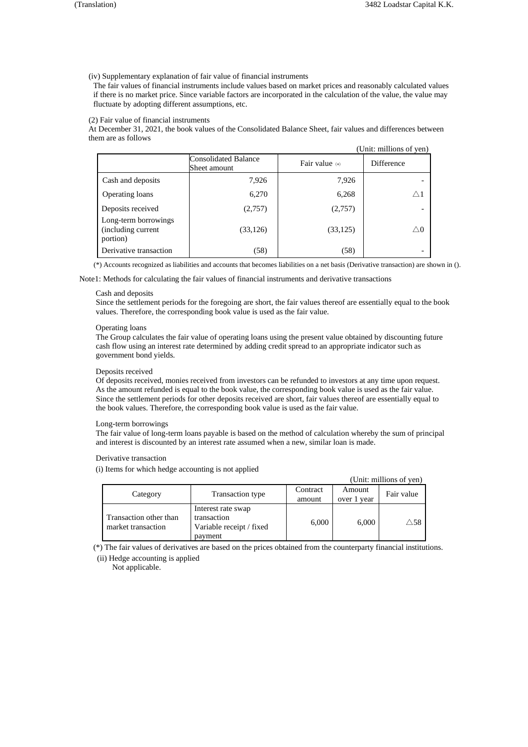(iv) Supplementary explanation of fair value of financial instruments

The fair values of financial instruments include values based on market prices and reasonably calculated values if there is no market price. Since variable factors are incorporated in the calculation of the value, the value may fluctuate by adopting different assumptions, etc.

(2) Fair value of financial instruments

At December 31, 2021, the book values of the Consolidated Balance Sheet, fair values and differences between them are as follows

|                                                        |                                             |                | (Unit: millions of yen) |
|--------------------------------------------------------|---------------------------------------------|----------------|-------------------------|
|                                                        | <b>Consolidated Balance</b><br>Sheet amount | Fair value (*) | Difference              |
| Cash and deposits                                      | 7,926                                       | 7,926          | ۰                       |
| Operating loans                                        | 6,270                                       | 6,268          | $\wedge 1$              |
| Deposits received                                      | (2,757)                                     | (2,757)        | ۰                       |
| Long-term borrowings<br>(including current<br>portion) | (33, 126)                                   | (33, 125)      | $\wedge 0$              |
| Derivative transaction                                 | (58)                                        | (58)           | ۰                       |

(\*) Accounts recognized as liabilities and accounts that becomes liabilities on a net basis (Derivative transaction) are shown in ().

Note1: Methods for calculating the fair values of financial instruments and derivative transactions

### Cash and deposits

Since the settlement periods for the foregoing are short, the fair values thereof are essentially equal to the book values. Therefore, the corresponding book value is used as the fair value.

#### Operating loans

The Group calculates the fair value of operating loans using the present value obtained by discounting future cash flow using an interest rate determined by adding credit spread to an appropriate indicator such as government bond yields.

#### Deposits received

Of deposits received, monies received from investors can be refunded to investors at any time upon request. As the amount refunded is equal to the book value, the corresponding book value is used as the fair value. Since the settlement periods for other deposits received are short, fair values thereof are essentially equal to the book values. Therefore, the corresponding book value is used as the fair value.

#### Long-term borrowings

The fair value of long-term loans payable is based on the method of calculation whereby the sum of principal and interest is discounted by an interest rate assumed when a new, similar loan is made.

### Derivative transaction

(i) Items for which hedge accounting is not applied

|                                              |                                                                          |                    |                       | (Unit: millions of yen) |
|----------------------------------------------|--------------------------------------------------------------------------|--------------------|-----------------------|-------------------------|
| Category                                     | Transaction type                                                         | Contract<br>amount | Amount<br>over 1 year | Fair value              |
| Transaction other than<br>market transaction | Interest rate swap<br>transaction<br>Variable receipt / fixed<br>payment | 6,000              | 6,000                 | $\setminus$ 58          |

(\*) The fair values of derivatives are based on the prices obtained from the counterparty financial institutions.

(ii) Hedge accounting is applied

Not applicable.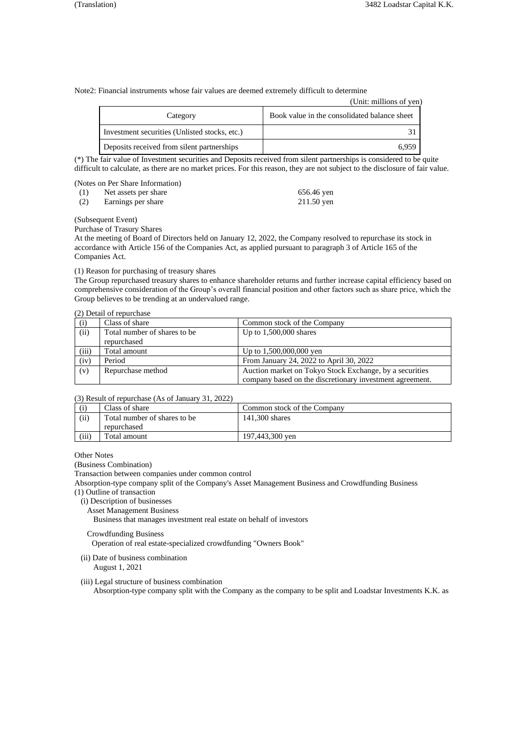Note2: Financial instruments whose fair values are deemed extremely difficult to determine

|                                               | (Unit: millions of yen)                      |
|-----------------------------------------------|----------------------------------------------|
| Category                                      | Book value in the consolidated balance sheet |
| Investment securities (Unlisted stocks, etc.) |                                              |
| Deposits received from silent partnerships    | 6.959                                        |

(\*) The fair value of Investment securities and Deposits received from silent partnerships is considered to be quite difficult to calculate, as there are no market prices. For this reason, they are not subject to the disclosure of fair value.

(Notes on Per Share Information)

| (1) | Net assets per share | 656.46 yen   |
|-----|----------------------|--------------|
| (2) | Earnings per share   | $211.50$ yen |

(Subsequent Event)

Purchase of Trasury Shares

At the meeting of Board of Directors held on January 12, 2022, the Company resolved to repurchase its stock in accordance with Article 156 of the Companies Act, as applied pursuant to paragraph 3 of Article 165 of the Companies Act.

### (1) Reason for purchasing of treasury shares

The Group repurchased treasury shares to enhance shareholder returns and further increase capital efficiency based on comprehensive consideration of the Group's overall financial position and other factors such as share price, which the Group believes to be trending at an undervalued range.

### (2) Detail of repurchase

| (i)   | Class of share               | Common stock of the Company                              |
|-------|------------------------------|----------------------------------------------------------|
| (ii)  | Total number of shares to be | Up to $1,500,000$ shares                                 |
|       | repurchased                  |                                                          |
| (iii) | Total amount                 | Up to $1,500,000,000$ yen                                |
| (iv)  | Period                       | From January 24, 2022 to April 30, 2022                  |
| (v)   | Repurchase method            | Auction market on Tokyo Stock Exchange, by a securities  |
|       |                              | company based on the discretionary investment agreement. |

### (3) Result of repurchase (As of January 31, 2022)

| (i)   | Class of share                | Common stock of the Company |
|-------|-------------------------------|-----------------------------|
| (ii)  | Total number of shares to be. | 141,300 shares              |
|       | repurchased                   |                             |
| (iii) | Total amount                  | 197,443,300 yen             |

Other Notes

(Business Combination)

Transaction between companies under common control

Absorption-type company split of the Company's Asset Management Business and Crowdfunding Business

(1) Outline of transaction

- (i) Description of businesses
	- Asset Management Business

Business that manages investment real estate on behalf of investors

# Crowdfunding Business

Operation of real estate-specialized crowdfunding "Owners Book"

(ii) Date of business combination

August 1, 2021

(iii) Legal structure of business combination Absorption-type company split with the Company as the company to be split and Loadstar Investments K.K. as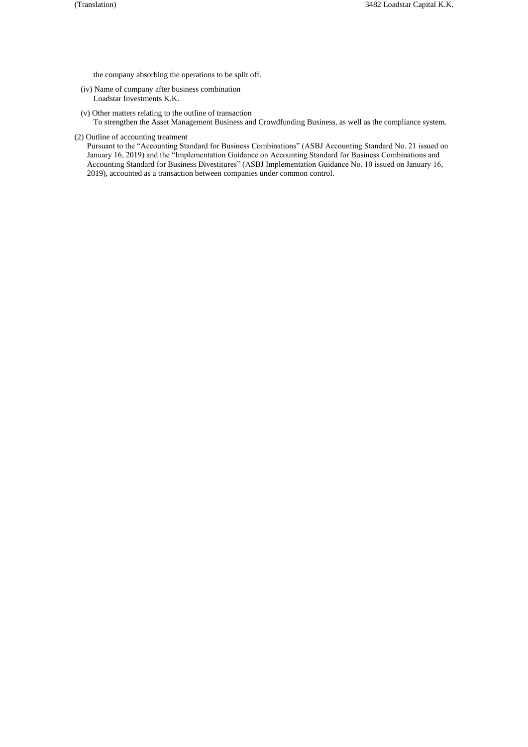the company absorbing the operations to be split off.

- (iv) Name of company after business combination Loadstar Investments K.K.
- (v) Other matters relating to the outline of transaction To strengthen the Asset Management Business and Crowdfunding Business, as well as the compliance system.
- (2) Outline of accounting treatment

Pursuant to the "Accounting Standard for Business Combinations" (ASBJ Accounting Standard No. 21 issued on January 16, 2019) and the "Implementation Guidance on Accounting Standard for Business Combinations and Accounting Standard for Business Divestitures" (ASBJ Implementation Guidance No. 10 issued on January 16, 2019), accounted as a transaction between companies under common control.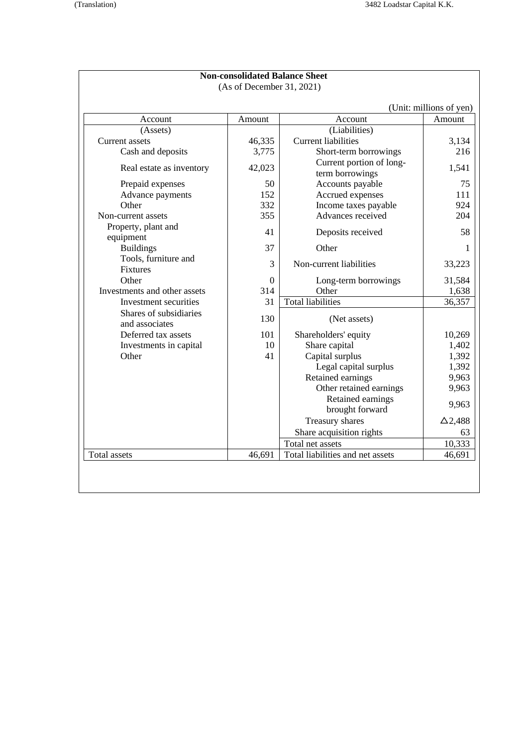|                                          |          |                                             | (Unit: millions of yen) |
|------------------------------------------|----------|---------------------------------------------|-------------------------|
| Account                                  | Amount   | Account                                     | Amount                  |
| (Assets)                                 |          | (Liabilities)                               |                         |
| Current assets                           | 46,335   | <b>Current liabilities</b>                  | 3,134                   |
| Cash and deposits                        | 3,775    | Short-term borrowings                       | 216                     |
| Real estate as inventory                 | 42,023   | Current portion of long-<br>term borrowings | 1,541                   |
| Prepaid expenses                         | 50       | Accounts payable                            | 75                      |
| Advance payments                         | 152      | Accrued expenses                            | 111                     |
| Other                                    | 332      | Income taxes payable                        | 924                     |
| Non-current assets                       | 355      | Advances received                           | 204                     |
| Property, plant and<br>equipment         | 41       | Deposits received                           | 58                      |
| <b>Buildings</b>                         | 37       | Other                                       |                         |
| Tools, furniture and<br><b>Fixtures</b>  | 3        | Non-current liabilities                     | 33,223                  |
| Other                                    | $\Omega$ | Long-term borrowings                        | 31,584                  |
| Investments and other assets             | 314      | Other                                       | 1,638                   |
| Investment securities                    | 31       | <b>Total liabilities</b>                    | 36,357                  |
| Shares of subsidiaries<br>and associates | 130      | (Net assets)                                |                         |
| Deferred tax assets                      | 101      | Shareholders' equity                        | 10,269                  |
| Investments in capital                   | 10       | Share capital                               | 1,402                   |
| Other                                    | 41       | Capital surplus                             | 1,392                   |
|                                          |          | Legal capital surplus                       | 1,392                   |
|                                          |          | Retained earnings                           | 9,963                   |
|                                          |          | Other retained earnings                     | 9,963                   |
|                                          |          | Retained earnings<br>brought forward        | 9,963                   |
|                                          |          | Treasury shares                             | $\Delta$ 2,488          |
|                                          |          | Share acquisition rights                    | 63                      |
|                                          |          | Total net assets                            | 10,333                  |
| <b>Total assets</b>                      | 46,691   | Total liabilities and net assets            | 46,691                  |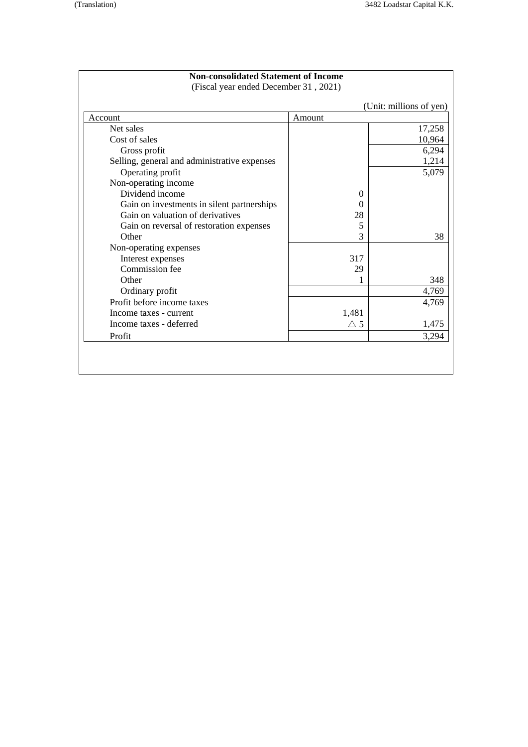| <b>Non-consolidated Statement of Income</b><br>(Fiscal year ended December 31, 2021) |               |                         |
|--------------------------------------------------------------------------------------|---------------|-------------------------|
|                                                                                      |               | (Unit: millions of yen) |
| Account                                                                              | Amount        |                         |
| Net sales                                                                            |               | 17,258                  |
| Cost of sales                                                                        |               | 10,964                  |
| Gross profit                                                                         |               | 6,294                   |
| Selling, general and administrative expenses                                         |               | 1,214                   |
| Operating profit                                                                     |               | 5,079                   |
| Non-operating income                                                                 |               |                         |
| Dividend income                                                                      | $\theta$      |                         |
| Gain on investments in silent partnerships                                           | $\Omega$      |                         |
| Gain on valuation of derivatives                                                     | 28            |                         |
| Gain on reversal of restoration expenses                                             | 5             |                         |
| Other                                                                                | 3             | 38                      |
| Non-operating expenses                                                               |               |                         |
| Interest expenses                                                                    | 317           |                         |
| Commission fee                                                                       | 29            |                         |
| Other                                                                                |               | 348                     |
| Ordinary profit                                                                      |               | 4,769                   |
| Profit before income taxes                                                           |               | 4,769                   |
| Income taxes - current                                                               | 1,481         |                         |
| Income taxes - deferred                                                              | $\triangle$ 5 | 1,475                   |
| Profit                                                                               |               | 3,294                   |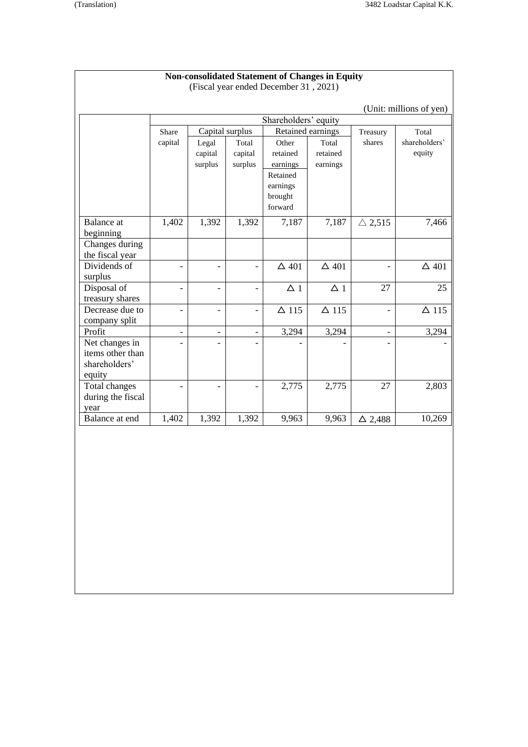|                                    |                          |                |                          | <b>Non-consolidated Statement of Changes in Equity</b><br>(Fiscal year ended December 31, 2021) |                   |                          |                         |
|------------------------------------|--------------------------|----------------|--------------------------|-------------------------------------------------------------------------------------------------|-------------------|--------------------------|-------------------------|
|                                    |                          |                |                          |                                                                                                 |                   |                          | (Unit: millions of yen) |
|                                    |                          |                |                          | Shareholders' equity                                                                            |                   |                          |                         |
|                                    | Share                    |                | Capital surplus          |                                                                                                 | Retained earnings | Treasury                 | Total                   |
|                                    | capital                  | Legal          | Total                    | Other                                                                                           | Total             | shares                   | shareholders'           |
|                                    |                          | capital        | capital                  | retained                                                                                        | retained          |                          | equity                  |
|                                    |                          | surplus        | surplus                  | earnings                                                                                        | earnings          |                          |                         |
|                                    |                          |                |                          | Retained                                                                                        |                   |                          |                         |
|                                    |                          |                |                          | earnings                                                                                        |                   |                          |                         |
|                                    |                          |                |                          | brought                                                                                         |                   |                          |                         |
|                                    |                          |                |                          | forward                                                                                         |                   |                          |                         |
| <b>Balance</b> at                  | 1,402                    | 1,392          | 1,392                    | 7,187                                                                                           | 7,187             | $\triangle$ 2,515        | 7,466                   |
| beginning                          |                          |                |                          |                                                                                                 |                   |                          |                         |
| Changes during                     |                          |                |                          |                                                                                                 |                   |                          |                         |
| the fiscal year                    |                          |                |                          |                                                                                                 |                   |                          |                         |
| Dividends of                       | $\overline{a}$           |                | $\overline{\phantom{a}}$ | $\Delta$ 401                                                                                    | $\Delta$ 401      | $\overline{\phantom{a}}$ | $\Delta$ 401            |
| surplus                            |                          |                |                          |                                                                                                 |                   |                          |                         |
| Disposal of                        | $\overline{a}$           | $\overline{a}$ | $\overline{\phantom{a}}$ | $\Delta$ 1                                                                                      | $\Delta$ 1        | 27                       | 25                      |
| treasury shares                    |                          |                |                          |                                                                                                 |                   |                          |                         |
| Decrease due to                    |                          |                | $\overline{\phantom{0}}$ | $\Delta$ 115                                                                                    | $\Delta$ 115      | $\overline{\phantom{0}}$ | $\Delta$ 115            |
| company split                      |                          |                |                          |                                                                                                 |                   |                          |                         |
| Profit                             | $\overline{\phantom{0}}$ |                | $\overline{\phantom{0}}$ | 3,294                                                                                           | 3,294             | $\overline{\phantom{a}}$ | 3,294                   |
| Net changes in<br>items other than |                          |                |                          |                                                                                                 |                   |                          |                         |
| shareholders'                      |                          |                |                          |                                                                                                 |                   |                          |                         |
| equity                             |                          |                |                          |                                                                                                 |                   |                          |                         |
| Total changes                      |                          |                |                          | 2,775                                                                                           | 2,775             | 27                       | 2,803                   |
| during the fiscal                  |                          |                |                          |                                                                                                 |                   |                          |                         |
| year                               |                          |                |                          |                                                                                                 |                   |                          |                         |
| Balance at end                     | 1,402                    | 1,392          | 1,392                    | 9,963                                                                                           | 9,963             | $\Delta$ 2,488           | 10,269                  |
|                                    |                          |                |                          |                                                                                                 |                   |                          |                         |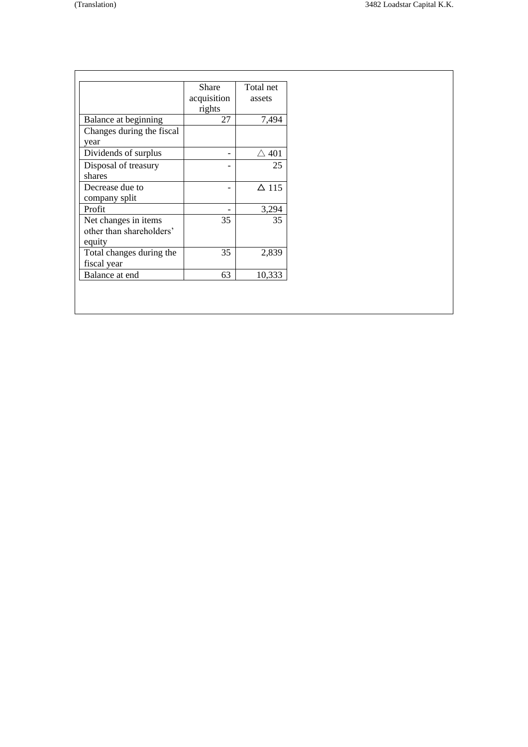|                           | Share           | Total net       |
|---------------------------|-----------------|-----------------|
|                           | acquisition     | assets          |
|                           | rights          |                 |
| Balance at beginning      | 27              | 7,494           |
| Changes during the fiscal |                 |                 |
| year                      |                 |                 |
| Dividends of surplus      |                 | $\triangle$ 401 |
| Disposal of treasury      |                 | 25              |
| shares                    |                 |                 |
| Decrease due to           |                 | $\Delta$ 115    |
| company split             |                 |                 |
| Profit                    | $\qquad \qquad$ | 3,294           |
| Net changes in items      | 35              | 35              |
| other than shareholders'  |                 |                 |
| equity                    |                 |                 |
| Total changes during the  | 35              | 2,839           |
| fiscal year               |                 |                 |
| Balance at end            | 63              | 10,333          |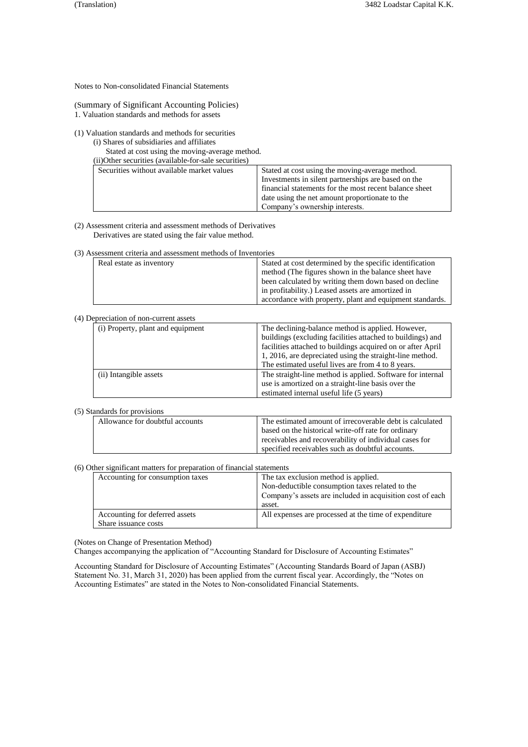Notes to Non-consolidated Financial Statements

(Summary of Significant Accounting Policies)

1. Valuation standards and methods for assets

(1) Valuation standards and methods for securities

(i) Shares of subsidiaries and affiliates

Stated at cost using the moving-average method. (ii)Other securities (available-for-sale securities)

| THOUTEL SECULILIES (available-TOI-Sale Seculities) |                                                        |
|----------------------------------------------------|--------------------------------------------------------|
| Securities without available market values         | Stated at cost using the moving-average method.        |
|                                                    | Investments in silent partnerships are based on the    |
|                                                    | financial statements for the most recent balance sheet |
|                                                    | date using the net amount proportionate to the         |

(2) Assessment criteria and assessment methods of Derivatives Derivatives are stated using the fair value method.

(3) Assessment criteria and assessment methods of Inventories

| Real estate as inventory | Stated at cost determined by the specific identification |
|--------------------------|----------------------------------------------------------|
|                          | method (The figures shown in the balance sheet have      |
|                          | been calculated by writing them down based on decline    |
|                          | in profitability.) Leased assets are amortized in        |
|                          | accordance with property, plant and equipment standards. |
|                          |                                                          |

Company's ownership interests.

# (4) Depreciation of non-current assets

| (i) Property, plant and equipment | The declining-balance method is applied. However,<br>buildings (excluding facilities attached to buildings) and<br>facilities attached to buildings acquired on or after April<br>1, 2016, are depreciated using the straight-line method.<br>The estimated useful lives are from 4 to 8 years. |
|-----------------------------------|-------------------------------------------------------------------------------------------------------------------------------------------------------------------------------------------------------------------------------------------------------------------------------------------------|
| (ii) Intangible assets            | The straight-line method is applied. Software for internal<br>use is amortized on a straight-line basis over the<br>estimated internal useful life (5 years)                                                                                                                                    |

(5) Standards for provisions

| Allowance for doubtful accounts | The estimated amount of irrecoverable debt is calculated |
|---------------------------------|----------------------------------------------------------|
|                                 | based on the historical write-off rate for ordinary      |
|                                 | receivables and recoverability of individual cases for   |
|                                 | specified receivables such as doubtful accounts.         |

#### (6) Other significant matters for preparation of financial statements

| Accounting for consumption taxes                       | The tax exclusion method is applied.<br>Non-deductible consumption taxes related to the<br>Company's assets are included in acquisition cost of each<br>asset. |
|--------------------------------------------------------|----------------------------------------------------------------------------------------------------------------------------------------------------------------|
| Accounting for deferred assets<br>Share issuance costs | All expenses are processed at the time of expenditure                                                                                                          |

(Notes on Change of Presentation Method)

Changes accompanying the application of "Accounting Standard for Disclosure of Accounting Estimates"

Accounting Standard for Disclosure of Accounting Estimates" (Accounting Standards Board of Japan (ASBJ) Statement No. 31, March 31, 2020) has been applied from the current fiscal year. Accordingly, the "Notes on Accounting Estimates" are stated in the Notes to Non-consolidated Financial Statements.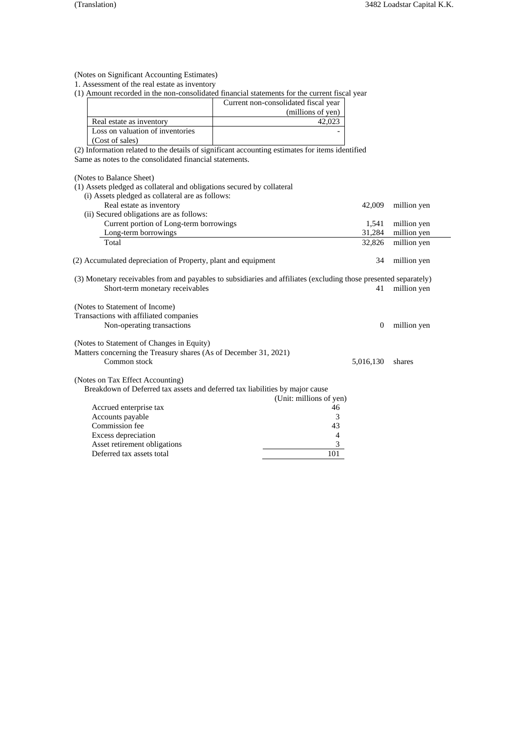(Notes on Significant Accounting Estimates)

1. Assessment of the real estate as inventory

(1) Amount recorded in the non-consolidated financial statements for the current fiscal year

|                                  | Current non-consolidated fiscal year |
|----------------------------------|--------------------------------------|
|                                  | (millions of yen)                    |
| Real estate as inventory         |                                      |
| Loss on valuation of inventories |                                      |
| (Cost of sales)                  |                                      |

(2) Information related to the details of significant accounting estimates for items identified Same as notes to the consolidated financial statements.

(Notes to Balance Sheet)

| (1) Assets pledged as collateral and obligations secured by collateral                                           |                         |                |             |
|------------------------------------------------------------------------------------------------------------------|-------------------------|----------------|-------------|
| (i) Assets pledged as collateral are as follows:                                                                 |                         |                |             |
| Real estate as inventory                                                                                         |                         | 42,009         | million yen |
| (ii) Secured obligations are as follows:                                                                         |                         |                |             |
| Current portion of Long-term borrowings                                                                          |                         | 1,541          | million yen |
| Long-term borrowings                                                                                             |                         | 31,284         | million yen |
| Total                                                                                                            |                         | 32,826         | million yen |
| (2) Accumulated depreciation of Property, plant and equipment                                                    |                         | 34             | million yen |
| (3) Monetary receivables from and payables to subsidiaries and affiliates (excluding those presented separately) |                         |                |             |
| Short-term monetary receivables                                                                                  |                         | 41             | million yen |
| (Notes to Statement of Income)                                                                                   |                         |                |             |
| Transactions with affiliated companies                                                                           |                         |                |             |
| Non-operating transactions                                                                                       |                         | $\overline{0}$ | million yen |
| (Notes to Statement of Changes in Equity)                                                                        |                         |                |             |
| Matters concerning the Treasury shares (As of December 31, 2021)                                                 |                         |                |             |
| Common stock                                                                                                     |                         | 5,016,130      | shares      |
| (Notes on Tax Effect Accounting)                                                                                 |                         |                |             |
| Breakdown of Deferred tax assets and deferred tax liabilities by major cause                                     |                         |                |             |
|                                                                                                                  | (Unit: millions of yen) |                |             |
| Accrued enterprise tax                                                                                           | 46                      |                |             |
| Accounts payable                                                                                                 | 3                       |                |             |
| Commission fee                                                                                                   | 43                      |                |             |
| Excess depreciation                                                                                              | 4                       |                |             |
| Asset retirement obligations                                                                                     | 3                       |                |             |
| Deferred tax assets total                                                                                        | 101                     |                |             |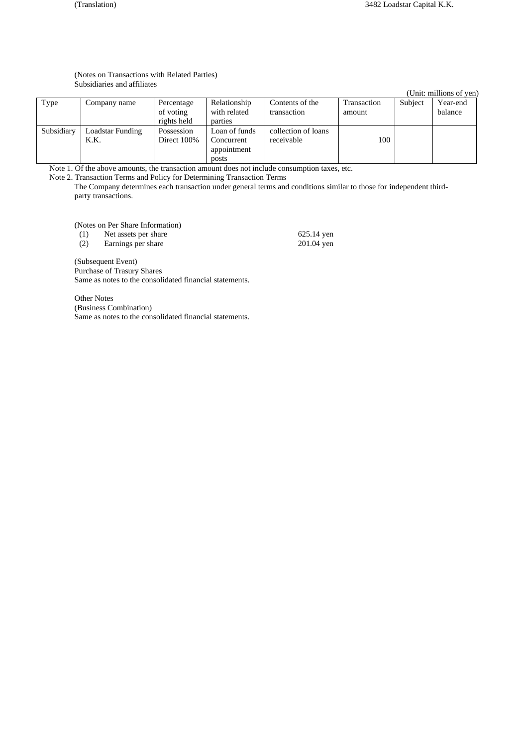# (Notes on Transactions with Related Parties) Subsidiaries and affiliates

|            |                  |             |               |                     |             |         | (Unit: millions of yen) |
|------------|------------------|-------------|---------------|---------------------|-------------|---------|-------------------------|
| Type       | Company name     | Percentage  | Relationship  | Contents of the     | Transaction | Subject | Year-end                |
|            |                  | of voting   | with related  | transaction         | amount      |         | balance                 |
|            |                  | rights held | parties       |                     |             |         |                         |
| Subsidiary | Loadstar Funding | Possession  | Loan of funds | collection of loans |             |         |                         |
|            | K.K.             | Direct 100% | Concurrent    | receivable          | 100         |         |                         |
|            |                  |             | appointment   |                     |             |         |                         |
|            |                  |             | posts         |                     |             |         |                         |

Note 1. Of the above amounts, the transaction amount does not include consumption taxes, etc.

Note 2. Transaction Terms and Policy for Determining Transaction Terms

The Company determines each transaction under general terms and conditions similar to those for independent thirdparty transactions.

(Notes on Per Share Information)<br>(1) Net assets per share

(1) Net assets per share 625.14 yen<br>
(2) Earnings per share 201.04 yen

Earnings per share

(Subsequent Event) Purchase of Trasury Shares Same as notes to the consolidated financial statements.

Other Notes (Business Combination) Same as notes to the consolidated financial statements.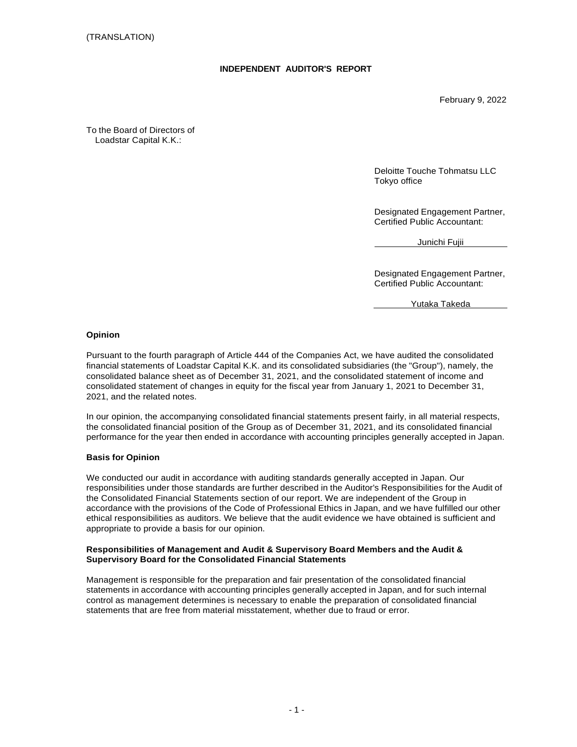# **INDEPENDENT AUDITOR'S REPORT**

February 9, 2022

To the Board of Directors of Loadstar Capital K.K.:

> Deloitte Touche Tohmatsu LLC Tokyo office

Designated Engagement Partner, Certified Public Accountant:

Junichi Fujii

Designated Engagement Partner, Certified Public Accountant:

Yutaka Takeda

# **Opinion**

Pursuant to the fourth paragraph of Article 444 of the Companies Act, we have audited the consolidated financial statements of Loadstar Capital K.K. and its consolidated subsidiaries (the "Group"), namely, the consolidated balance sheet as of December 31, 2021, and the consolidated statement of income and consolidated statement of changes in equity for the fiscal year from January 1, 2021 to December 31, 2021, and the related notes.

In our opinion, the accompanying consolidated financial statements present fairly, in all material respects, the consolidated financial position of the Group as of December 31, 2021, and its consolidated financial performance for the year then ended in accordance with accounting principles generally accepted in Japan.

# **Basis for Opinion**

We conducted our audit in accordance with auditing standards generally accepted in Japan. Our responsibilities under those standards are further described in the Auditor's Responsibilities for the Audit of the Consolidated Financial Statements section of our report. We are independent of the Group in accordance with the provisions of the Code of Professional Ethics in Japan, and we have fulfilled our other ethical responsibilities as auditors. We believe that the audit evidence we have obtained is sufficient and appropriate to provide a basis for our opinion.

# **Responsibilities of Management and Audit & Supervisory Board Members and the Audit & Supervisory Board for the Consolidated Financial Statements**

Management is responsible for the preparation and fair presentation of the consolidated financial statements in accordance with accounting principles generally accepted in Japan, and for such internal control as management determines is necessary to enable the preparation of consolidated financial statements that are free from material misstatement, whether due to fraud or error.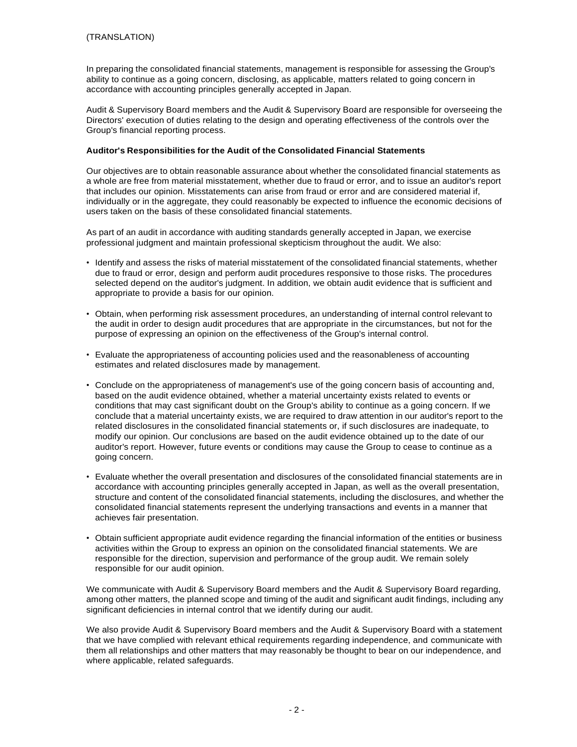In preparing the consolidated financial statements, management is responsible for assessing the Group's ability to continue as a going concern, disclosing, as applicable, matters related to going concern in accordance with accounting principles generally accepted in Japan.

Audit & Supervisory Board members and the Audit & Supervisory Board are responsible for overseeing the Directors' execution of duties relating to the design and operating effectiveness of the controls over the Group's financial reporting process.

# **Auditor's Responsibilities for the Audit of the Consolidated Financial Statements**

Our objectives are to obtain reasonable assurance about whether the consolidated financial statements as a whole are free from material misstatement, whether due to fraud or error, and to issue an auditor's report that includes our opinion. Misstatements can arise from fraud or error and are considered material if, individually or in the aggregate, they could reasonably be expected to influence the economic decisions of users taken on the basis of these consolidated financial statements.

As part of an audit in accordance with auditing standards generally accepted in Japan, we exercise professional judgment and maintain professional skepticism throughout the audit. We also:

- Identify and assess the risks of material misstatement of the consolidated financial statements, whether due to fraud or error, design and perform audit procedures responsive to those risks. The procedures selected depend on the auditor's judgment. In addition, we obtain audit evidence that is sufficient and appropriate to provide a basis for our opinion.
- Obtain, when performing risk assessment procedures, an understanding of internal control relevant to the audit in order to design audit procedures that are appropriate in the circumstances, but not for the purpose of expressing an opinion on the effectiveness of the Group's internal control.
- Evaluate the appropriateness of accounting policies used and the reasonableness of accounting estimates and related disclosures made by management.
- Conclude on the appropriateness of management's use of the going concern basis of accounting and, based on the audit evidence obtained, whether a material uncertainty exists related to events or conditions that may cast significant doubt on the Group's ability to continue as a going concern. If we conclude that a material uncertainty exists, we are required to draw attention in our auditor's report to the related disclosures in the consolidated financial statements or, if such disclosures are inadequate, to modify our opinion. Our conclusions are based on the audit evidence obtained up to the date of our auditor's report. However, future events or conditions may cause the Group to cease to continue as a going concern.
- Evaluate whether the overall presentation and disclosures of the consolidated financial statements are in accordance with accounting principles generally accepted in Japan, as well as the overall presentation, structure and content of the consolidated financial statements, including the disclosures, and whether the consolidated financial statements represent the underlying transactions and events in a manner that achieves fair presentation.
- Obtain sufficient appropriate audit evidence regarding the financial information of the entities or business activities within the Group to express an opinion on the consolidated financial statements. We are responsible for the direction, supervision and performance of the group audit. We remain solely responsible for our audit opinion.

We communicate with Audit & Supervisory Board members and the Audit & Supervisory Board regarding, among other matters, the planned scope and timing of the audit and significant audit findings, including any significant deficiencies in internal control that we identify during our audit.

We also provide Audit & Supervisory Board members and the Audit & Supervisory Board with a statement that we have complied with relevant ethical requirements regarding independence, and communicate with them all relationships and other matters that may reasonably be thought to bear on our independence, and where applicable, related safeguards.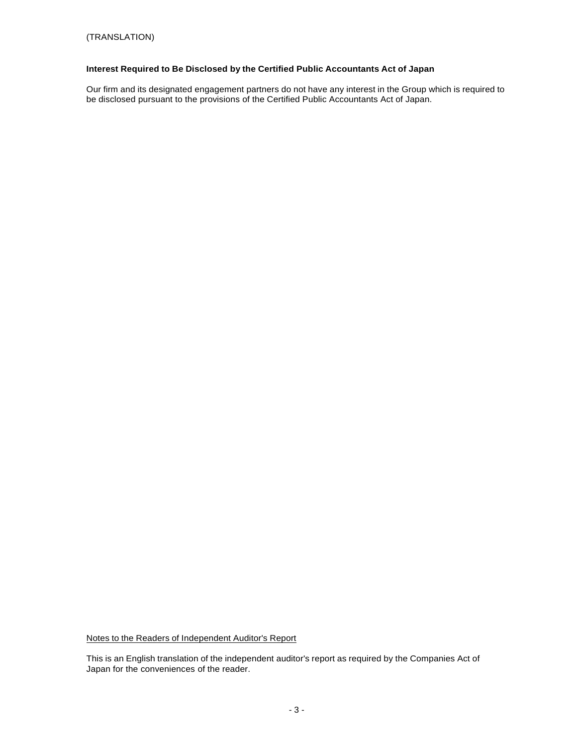# **Interest Required to Be Disclosed by the Certified Public Accountants Act of Japan**

Our firm and its designated engagement partners do not have any interest in the Group which is required to be disclosed pursuant to the provisions of the Certified Public Accountants Act of Japan.

Notes to the Readers of Independent Auditor's Report

This is an English translation of the independent auditor's report as required by the Companies Act of Japan for the conveniences of the reader.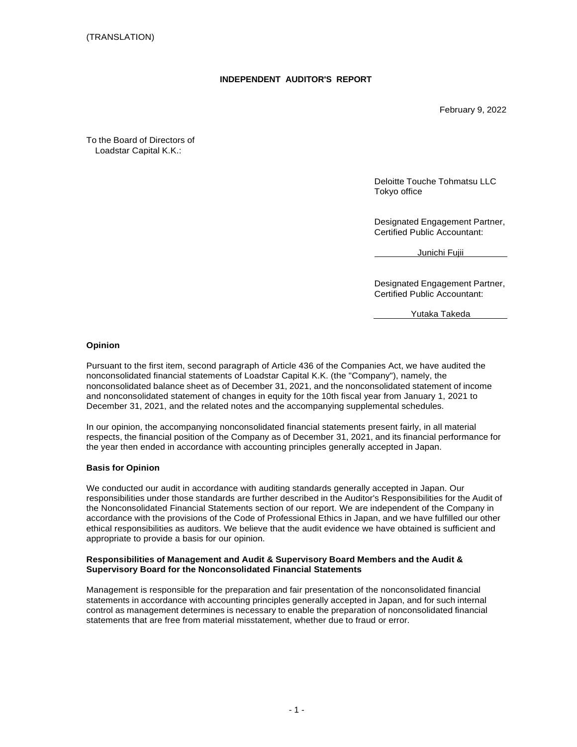# **INDEPENDENT AUDITOR'S REPORT**

February 9, 2022

To the Board of Directors of Loadstar Capital K.K.:

> Deloitte Touche Tohmatsu LLC Tokyo office

Designated Engagement Partner, Certified Public Accountant:

Junichi Fujii

Designated Engagement Partner, Certified Public Accountant:

Yutaka Takeda

### **Opinion**

Pursuant to the first item, second paragraph of Article 436 of the Companies Act, we have audited the nonconsolidated financial statements of Loadstar Capital K.K. (the "Company"), namely, the nonconsolidated balance sheet as of December 31, 2021, and the nonconsolidated statement of income and nonconsolidated statement of changes in equity for the 10th fiscal year from January 1, 2021 to December 31, 2021, and the related notes and the accompanying supplemental schedules.

In our opinion, the accompanying nonconsolidated financial statements present fairly, in all material respects, the financial position of the Company as of December 31, 2021, and its financial performance for the year then ended in accordance with accounting principles generally accepted in Japan.

# **Basis for Opinion**

We conducted our audit in accordance with auditing standards generally accepted in Japan. Our responsibilities under those standards are further described in the Auditor's Responsibilities for the Audit of the Nonconsolidated Financial Statements section of our report. We are independent of the Company in accordance with the provisions of the Code of Professional Ethics in Japan, and we have fulfilled our other ethical responsibilities as auditors. We believe that the audit evidence we have obtained is sufficient and appropriate to provide a basis for our opinion.

### **Responsibilities of Management and Audit & Supervisory Board Members and the Audit & Supervisory Board for the Nonconsolidated Financial Statements**

Management is responsible for the preparation and fair presentation of the nonconsolidated financial statements in accordance with accounting principles generally accepted in Japan, and for such internal control as management determines is necessary to enable the preparation of nonconsolidated financial statements that are free from material misstatement, whether due to fraud or error.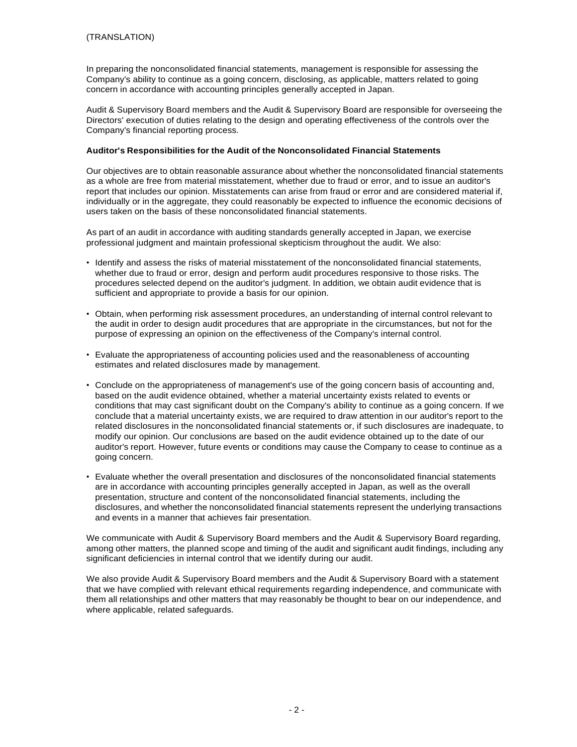In preparing the nonconsolidated financial statements, management is responsible for assessing the Company's ability to continue as a going concern, disclosing, as applicable, matters related to going concern in accordance with accounting principles generally accepted in Japan.

Audit & Supervisory Board members and the Audit & Supervisory Board are responsible for overseeing the Directors' execution of duties relating to the design and operating effectiveness of the controls over the Company's financial reporting process.

# **Auditor's Responsibilities for the Audit of the Nonconsolidated Financial Statements**

Our objectives are to obtain reasonable assurance about whether the nonconsolidated financial statements as a whole are free from material misstatement, whether due to fraud or error, and to issue an auditor's report that includes our opinion. Misstatements can arise from fraud or error and are considered material if, individually or in the aggregate, they could reasonably be expected to influence the economic decisions of users taken on the basis of these nonconsolidated financial statements.

As part of an audit in accordance with auditing standards generally accepted in Japan, we exercise professional judgment and maintain professional skepticism throughout the audit. We also:

- Identify and assess the risks of material misstatement of the nonconsolidated financial statements, whether due to fraud or error, design and perform audit procedures responsive to those risks. The procedures selected depend on the auditor's judgment. In addition, we obtain audit evidence that is sufficient and appropriate to provide a basis for our opinion.
- Obtain, when performing risk assessment procedures, an understanding of internal control relevant to the audit in order to design audit procedures that are appropriate in the circumstances, but not for the purpose of expressing an opinion on the effectiveness of the Company's internal control.
- Evaluate the appropriateness of accounting policies used and the reasonableness of accounting estimates and related disclosures made by management.
- Conclude on the appropriateness of management's use of the going concern basis of accounting and, based on the audit evidence obtained, whether a material uncertainty exists related to events or conditions that may cast significant doubt on the Company's ability to continue as a going concern. If we conclude that a material uncertainty exists, we are required to draw attention in our auditor's report to the related disclosures in the nonconsolidated financial statements or, if such disclosures are inadequate, to modify our opinion. Our conclusions are based on the audit evidence obtained up to the date of our auditor's report. However, future events or conditions may cause the Company to cease to continue as a going concern.
- Evaluate whether the overall presentation and disclosures of the nonconsolidated financial statements are in accordance with accounting principles generally accepted in Japan, as well as the overall presentation, structure and content of the nonconsolidated financial statements, including the disclosures, and whether the nonconsolidated financial statements represent the underlying transactions and events in a manner that achieves fair presentation.

We communicate with Audit & Supervisory Board members and the Audit & Supervisory Board regarding, among other matters, the planned scope and timing of the audit and significant audit findings, including any significant deficiencies in internal control that we identify during our audit.

We also provide Audit & Supervisory Board members and the Audit & Supervisory Board with a statement that we have complied with relevant ethical requirements regarding independence, and communicate with them all relationships and other matters that may reasonably be thought to bear on our independence, and where applicable, related safeguards.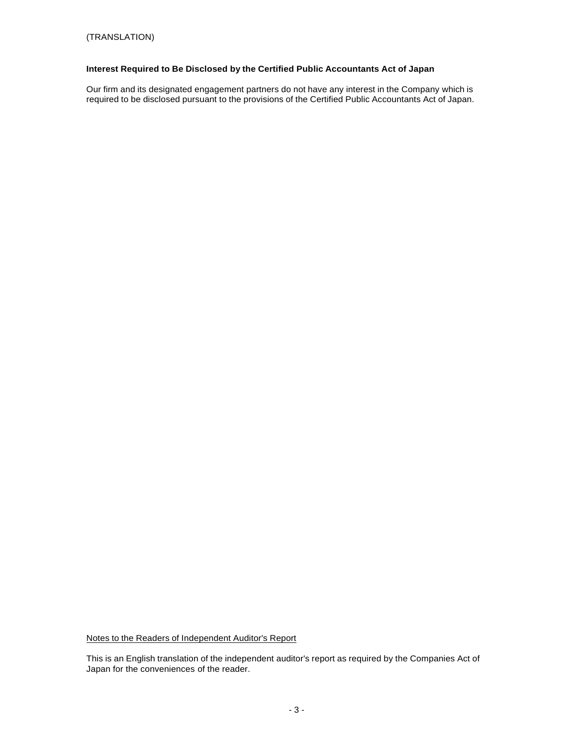# **Interest Required to Be Disclosed by the Certified Public Accountants Act of Japan**

Our firm and its designated engagement partners do not have any interest in the Company which is required to be disclosed pursuant to the provisions of the Certified Public Accountants Act of Japan.

Notes to the Readers of Independent Auditor's Report

This is an English translation of the independent auditor's report as required by the Companies Act of Japan for the conveniences of the reader.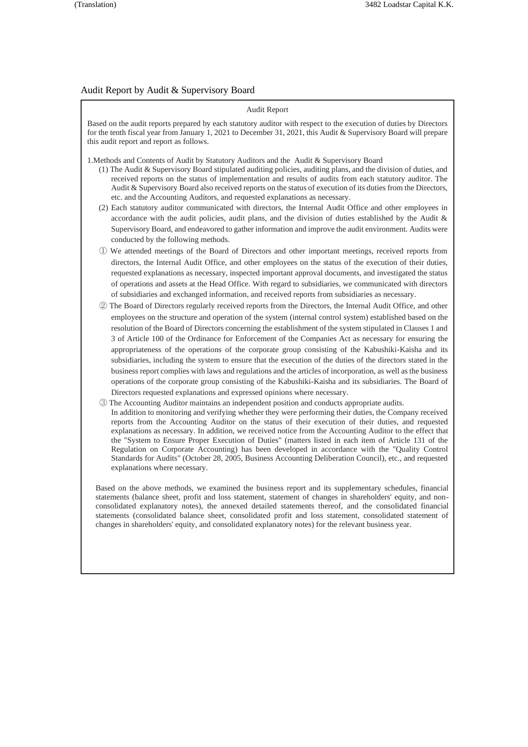# Audit Report by Audit & Supervisory Board

| Audit Report                                                                                                                                                                                                                                                                                                                                                                                                                                                                                                                                                                                                                                                                                                                                                                                                                                                                                                                                                                    |  |  |
|---------------------------------------------------------------------------------------------------------------------------------------------------------------------------------------------------------------------------------------------------------------------------------------------------------------------------------------------------------------------------------------------------------------------------------------------------------------------------------------------------------------------------------------------------------------------------------------------------------------------------------------------------------------------------------------------------------------------------------------------------------------------------------------------------------------------------------------------------------------------------------------------------------------------------------------------------------------------------------|--|--|
| Based on the audit reports prepared by each statutory auditor with respect to the execution of duties by Directors<br>for the tenth fiscal year from January 1, 2021 to December 31, 2021, this Audit & Supervisory Board will prepare<br>this audit report and report as follows.                                                                                                                                                                                                                                                                                                                                                                                                                                                                                                                                                                                                                                                                                              |  |  |
| 1. Methods and Contents of Audit by Statutory Auditors and the Audit & Supervisory Board<br>(1) The Audit & Supervisory Board stipulated auditing policies, auditing plans, and the division of duties, and<br>received reports on the status of implementation and results of audits from each statutory auditor. The<br>Audit & Supervisory Board also received reports on the status of execution of its duties from the Directors,<br>etc. and the Accounting Auditors, and requested explanations as necessary.<br>(2) Each statutory auditor communicated with directors, the Internal Audit Office and other employees in<br>accordance with the audit policies, audit plans, and the division of duties established by the Audit $\&$<br>Supervisory Board, and endeavored to gather information and improve the audit environment. Audits were                                                                                                                         |  |  |
| conducted by the following methods.<br>1) We attended meetings of the Board of Directors and other important meetings, received reports from<br>directors, the Internal Audit Office, and other employees on the status of the execution of their duties,<br>requested explanations as necessary, inspected important approval documents, and investigated the status<br>of operations and assets at the Head Office. With regard to subsidiaries, we communicated with directors<br>of subsidiaries and exchanged information, and received reports from subsidiaries as necessary.                                                                                                                                                                                                                                                                                                                                                                                            |  |  |
| 2 The Board of Directors regularly received reports from the Directors, the Internal Audit Office, and other<br>employees on the structure and operation of the system (internal control system) established based on the<br>resolution of the Board of Directors concerning the establishment of the system stipulated in Clauses 1 and<br>3 of Article 100 of the Ordinance for Enforcement of the Companies Act as necessary for ensuring the<br>appropriateness of the operations of the corporate group consisting of the Kabushiki-Kaisha and its<br>subsidiaries, including the system to ensure that the execution of the duties of the directors stated in the<br>business report complies with laws and regulations and the articles of incorporation, as well as the business<br>operations of the corporate group consisting of the Kabushiki-Kaisha and its subsidiaries. The Board of<br>Directors requested explanations and expressed opinions where necessary. |  |  |
| 3) The Accounting Auditor maintains an independent position and conducts appropriate audits.<br>In addition to monitoring and verifying whether they were performing their duties, the Company received<br>reports from the Accounting Auditor on the status of their execution of their duties, and requested                                                                                                                                                                                                                                                                                                                                                                                                                                                                                                                                                                                                                                                                  |  |  |

explanations as necessary. In addition, we received notice from the Accounting Auditor to the effect that the "System to Ensure Proper Execution of Duties" (matters listed in each item of Article 131 of the Regulation on Corporate Accounting) has been developed in accordance with the "Quality Control Standards for Audits" (October 28, 2005, Business Accounting Deliberation Council), etc., and requested explanations where necessary.

Based on the above methods, we examined the business report and its supplementary schedules, financial statements (balance sheet, profit and loss statement, statement of changes in shareholders' equity, and nonconsolidated explanatory notes), the annexed detailed statements thereof, and the consolidated financial statements (consolidated balance sheet, consolidated profit and loss statement, consolidated statement of changes in shareholders' equity, and consolidated explanatory notes) for the relevant business year.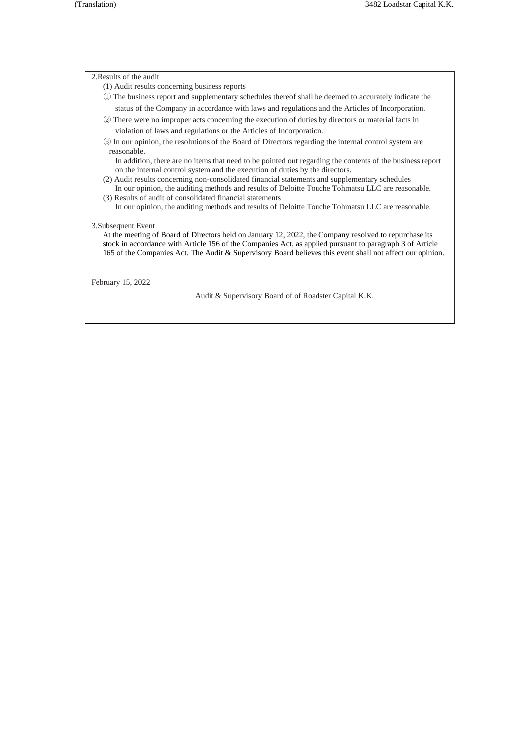### 2.Results of the audit

- (1) Audit results concerning business reports
- ① The business report and supplementary schedules thereof shall be deemed to accurately indicate the status of the Company in accordance with laws and regulations and the Articles of Incorporation.
- ② There were no improper acts concerning the execution of duties by directors or material facts in violation of laws and regulations or the Articles of Incorporation.
- ③ In our opinion, the resolutions of the Board of Directors regarding the internal control system are reasonable.

In addition, there are no items that need to be pointed out regarding the contents of the business report on the internal control system and the execution of duties by the directors.

- (2) Audit results concerning non-consolidated financial statements and supplementary schedules In our opinion, the auditing methods and results of Deloitte Touche Tohmatsu LLC are reasonable. (3) Results of audit of consolidated financial statements
- In our opinion, the auditing methods and results of Deloitte Touche Tohmatsu LLC are reasonable.

### 3.Subsequent Event

At the meeting of Board of Directors held on January 12, 2022, the Company resolved to repurchase its stock in accordance with Article 156 of the Companies Act, as applied pursuant to paragraph 3 of Article 165 of the Companies Act. The Audit & Supervisory Board believes this event shall not affect our opinion.

February 15, 2022

Audit & Supervisory Board of of Roadster Capital K.K.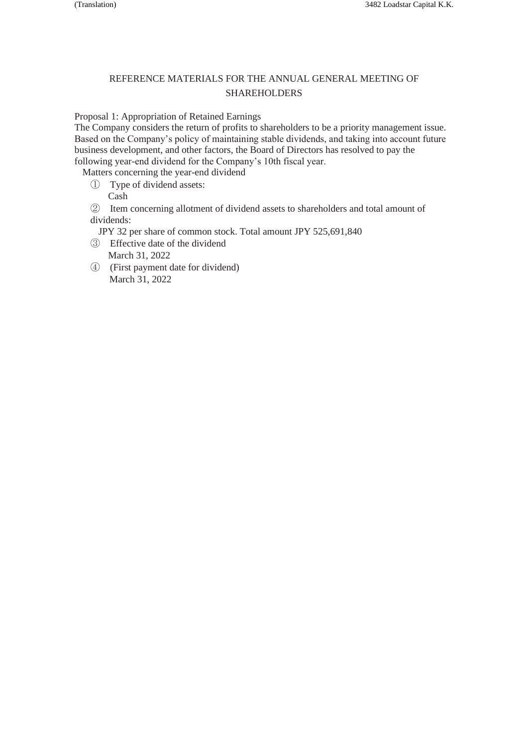# REFERENCE MATERIALS FOR THE ANNUAL GENERAL MEETING OF **SHAREHOLDERS**

Proposal 1: Appropriation of Retained Earnings

The Company considers the return of profits to shareholders to be a priority management issue. Based on the Company's policy of maintaining stable dividends, and taking into account future business development, and other factors, the Board of Directors has resolved to pay the following year-end dividend for the Company's 10th fiscal year.

Matters concerning the year-end dividend

- ① Type of dividend assets:
	- Cash

② Item concerning allotment of dividend assets to shareholders and total amount of dividends:

JPY 32 per share of common stock. Total amount JPY 525,691,840

- ③ Effective date of the dividend March 31, 2022
- ④ (First payment date for dividend) March 31, 2022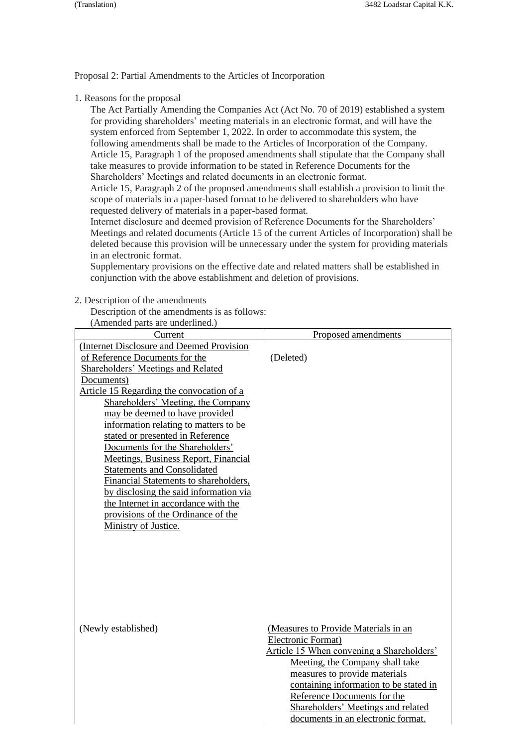Proposal 2: Partial Amendments to the Articles of Incorporation

1. Reasons for the proposal

The Act Partially Amending the Companies Act (Act No. 70 of 2019) established a system for providing shareholders' meeting materials in an electronic format, and will have the system enforced from September 1, 2022. In order to accommodate this system, the following amendments shall be made to the Articles of Incorporation of the Company. Article 15, Paragraph 1 of the proposed amendments shall stipulate that the Company shall take measures to provide information to be stated in Reference Documents for the Shareholders' Meetings and related documents in an electronic format.

Article 15, Paragraph 2 of the proposed amendments shall establish a provision to limit the scope of materials in a paper-based format to be delivered to shareholders who have requested delivery of materials in a paper-based format.

Internet disclosure and deemed provision of Reference Documents for the Shareholders' Meetings and related documents (Article 15 of the current Articles of Incorporation) shall be deleted because this provision will be unnecessary under the system for providing materials in an electronic format.

Supplementary provisions on the effective date and related matters shall be established in conjunction with the above establishment and deletion of provisions.

2. Description of the amendments

Description of the amendments is as follows:<br> $(\triangle$ mended parts are underlined.)

| (Amended parts are underlined.)                                                                                                                                                                                                                                                                                                                                                                                                                                                                                                                                                                                                                          |                                                                                                                                                                                                                                                                                                                                  |
|----------------------------------------------------------------------------------------------------------------------------------------------------------------------------------------------------------------------------------------------------------------------------------------------------------------------------------------------------------------------------------------------------------------------------------------------------------------------------------------------------------------------------------------------------------------------------------------------------------------------------------------------------------|----------------------------------------------------------------------------------------------------------------------------------------------------------------------------------------------------------------------------------------------------------------------------------------------------------------------------------|
| Current                                                                                                                                                                                                                                                                                                                                                                                                                                                                                                                                                                                                                                                  | Proposed amendments                                                                                                                                                                                                                                                                                                              |
| (Internet Disclosure and Deemed Provision<br>of Reference Documents for the<br><b>Shareholders' Meetings and Related</b><br>Documents)<br>Article 15 Regarding the convocation of a<br>Shareholders' Meeting, the Company<br>may be deemed to have provided<br>information relating to matters to be<br>stated or presented in Reference<br>Documents for the Shareholders'<br><b>Meetings, Business Report, Financial</b><br><b>Statements and Consolidated</b><br>Financial Statements to shareholders,<br>by disclosing the said information via<br>the Internet in accordance with the<br>provisions of the Ordinance of the<br>Ministry of Justice. | (Deleted)                                                                                                                                                                                                                                                                                                                        |
| (Newly established)                                                                                                                                                                                                                                                                                                                                                                                                                                                                                                                                                                                                                                      | (Measures to Provide Materials in an<br>Electronic Format)<br>Article 15 When convening a Shareholders'<br>Meeting, the Company shall take<br>measures to provide materials<br>containing information to be stated in<br>Reference Documents for the<br>Shareholders' Meetings and related<br>documents in an electronic format. |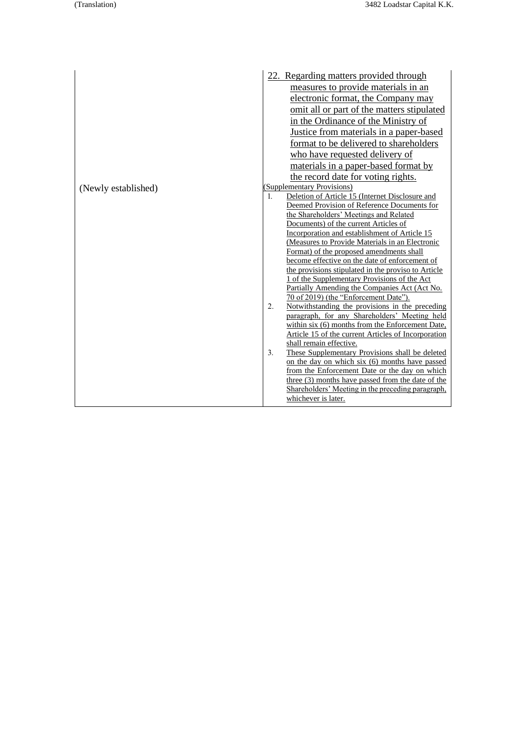|                     | 22. Regarding matters provided through                |
|---------------------|-------------------------------------------------------|
|                     | measures to provide materials in an                   |
|                     | electronic format, the Company may                    |
|                     | omit all or part of the matters stipulated            |
|                     | in the Ordinance of the Ministry of                   |
|                     | <u>Justice from materials in a paper-based</u>        |
|                     | format to be delivered to shareholders                |
|                     | who have requested delivery of                        |
|                     | materials in a paper-based format by                  |
|                     | the record date for voting rights.                    |
| (Newly established) | (Supplementary Provisions)                            |
|                     | Deletion of Article 15 (Internet Disclosure and<br>1. |
|                     | Deemed Provision of Reference Documents for           |
|                     | the Shareholders' Meetings and Related                |
|                     | Documents) of the current Articles of                 |
|                     | Incorporation and establishment of Article 15         |
|                     | (Measures to Provide Materials in an Electronic       |
|                     | Format) of the proposed amendments shall              |
|                     | become effective on the date of enforcement of        |
|                     | the provisions stipulated in the proviso to Article   |
|                     | 1 of the Supplementary Provisions of the Act          |
|                     | Partially Amending the Companies Act (Act No.         |
|                     | 70 of 2019) (the "Enforcement Date").                 |
|                     | Notwithstanding the provisions in the preceding<br>2. |
|                     | paragraph, for any Shareholders' Meeting held         |
|                     | within six (6) months from the Enforcement Date,      |
|                     | Article 15 of the current Articles of Incorporation   |
|                     | shall remain effective.                               |
|                     | 3.<br>These Supplementary Provisions shall be deleted |
|                     | on the day on which six (6) months have passed        |
|                     | from the Enforcement Date or the day on which         |
|                     | three (3) months have passed from the date of the     |
|                     | Shareholders' Meeting in the preceding paragraph,     |
|                     | whichever is later.                                   |
|                     |                                                       |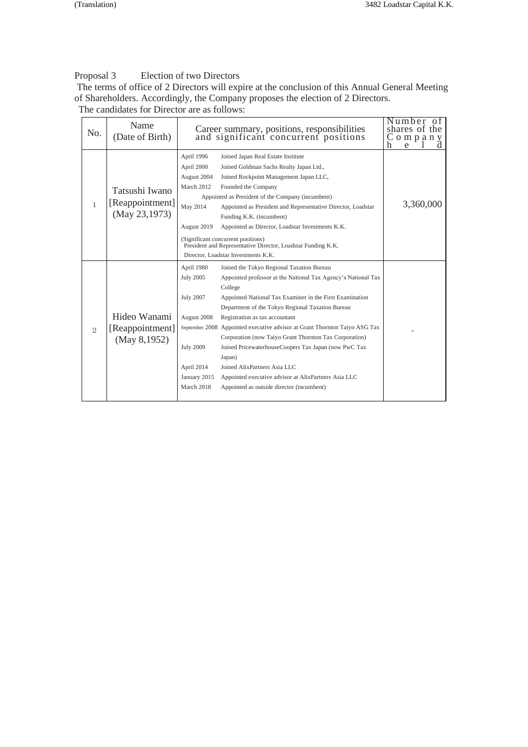# Proposal 3 Election of two Directors

The terms of office of 2 Directors will expire at the conclusion of this Annual General Meeting of Shareholders. Accordingly, the Company proposes the election of 2 Directors. The candidates for Director are as follows:

No. Name (Date of Birth) Career summary, positions, responsibilities and significant concurrent positions Number of shares of the C o m p a n y <u>h e l d</u> 1 Tatsushi Iwano [Reappointment] (May 23,1973) April 1996 Joined Japan Real Estate Institute April 2000 Joined Goldman Sachs Realty Japan Ltd., August 2004 Joined Rockpoint Management Japan LLC, March 2012 Founded the Company Appointed as President of the Company (incumbent) May 2014 Appointed as President and Representative Director, Loadstar Funding K.K. (incumbent) August 2019 Appointed as Director, Loadstar Investments K.K. 3,360,000 (Significant concurrent positions) President and Representative Director, Loadstar Funding K.K. Director, Loadstar Investments K.K. 2 Hideo Wanami [Reappointment] (May 8,1952) April 1980 Joined the Tokyo Regional Taxation Bureau July 2005 Appointed professor at the National Tax Agency's National Tax College July 2007 Appointed National Tax Examiner in the First Examination Department of the Tokyo Regional Taxation Bureau August 2008 Registration as tax accountant September 2008 Appointed executive advisor at Grant Thornton Taiyo ASG Tax Corporation (now Taiyo Grant Thornton Tax Corporation) July 2009 Joined PricewaterhouseCoopers Tax Japan (now PwC Tax Japan) April 2014 Joined AlixPartners Asia LLC January 2015 Appointed executive advisor at AlixPartners Asia LLC March 2018 Appointed as outside director (incumbent) -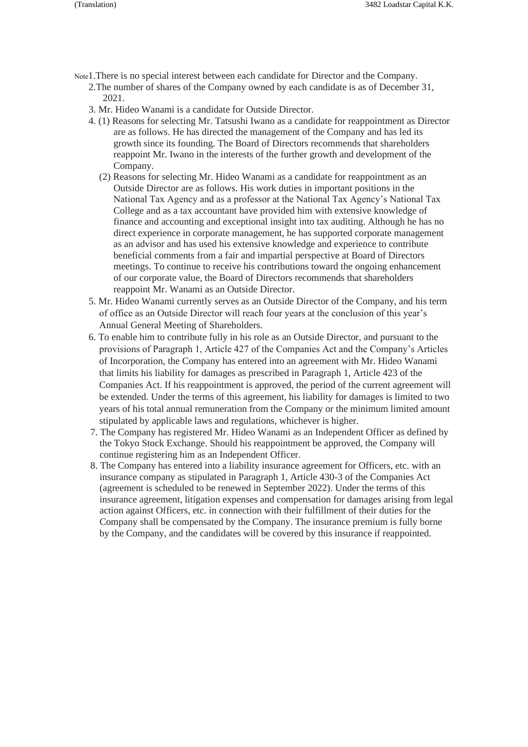- Note1.There is no special interest between each candidate for Director and the Company.
	- 2.The number of shares of the Company owned by each candidate is as of December 31, 2021.
	- 3. Mr. Hideo Wanami is a candidate for Outside Director.
	- 4. (1) Reasons for selecting Mr. Tatsushi Iwano as a candidate for reappointment as Director are as follows. He has directed the management of the Company and has led its growth since its founding. The Board of Directors recommends that shareholders reappoint Mr. Iwano in the interests of the further growth and development of the Company.
		- (2) Reasons for selecting Mr. Hideo Wanami as a candidate for reappointment as an Outside Director are as follows. His work duties in important positions in the National Tax Agency and as a professor at the National Tax Agency's National Tax College and as a tax accountant have provided him with extensive knowledge of finance and accounting and exceptional insight into tax auditing. Although he has no direct experience in corporate management, he has supported corporate management as an advisor and has used his extensive knowledge and experience to contribute beneficial comments from a fair and impartial perspective at Board of Directors meetings. To continue to receive his contributions toward the ongoing enhancement of our corporate value, the Board of Directors recommends that shareholders reappoint Mr. Wanami as an Outside Director.
	- 5. Mr. Hideo Wanami currently serves as an Outside Director of the Company, and his term of office as an Outside Director will reach four years at the conclusion of this year's Annual General Meeting of Shareholders.
	- 6. To enable him to contribute fully in his role as an Outside Director, and pursuant to the provisions of Paragraph 1, Article 427 of the Companies Act and the Company's Articles of Incorporation, the Company has entered into an agreement with Mr. Hideo Wanami that limits his liability for damages as prescribed in Paragraph 1, Article 423 of the Companies Act. If his reappointment is approved, the period of the current agreement will be extended. Under the terms of this agreement, his liability for damages is limited to two years of his total annual remuneration from the Company or the minimum limited amount stipulated by applicable laws and regulations, whichever is higher.
	- 7. The Company has registered Mr. Hideo Wanami as an Independent Officer as defined by the Tokyo Stock Exchange. Should his reappointment be approved, the Company will continue registering him as an Independent Officer.
	- 8. The Company has entered into a liability insurance agreement for Officers, etc. with an insurance company as stipulated in Paragraph 1, Article 430-3 of the Companies Act (agreement is scheduled to be renewed in September 2022). Under the terms of this insurance agreement, litigation expenses and compensation for damages arising from legal action against Officers, etc. in connection with their fulfillment of their duties for the Company shall be compensated by the Company. The insurance premium is fully borne by the Company, and the candidates will be covered by this insurance if reappointed.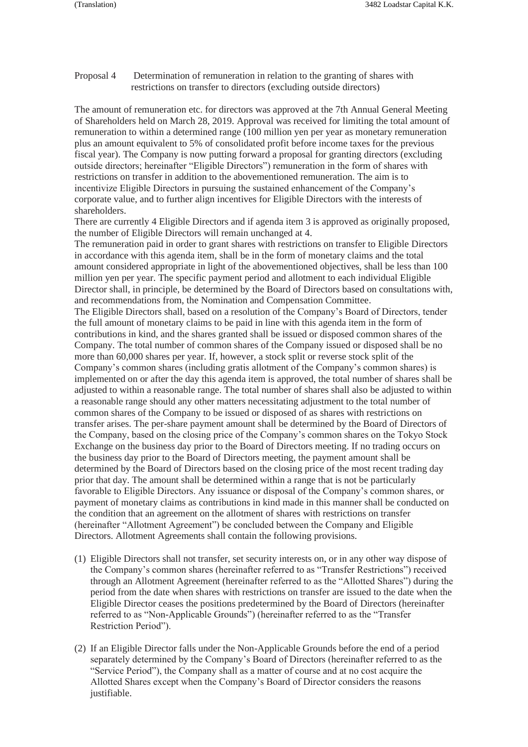Proposal 4 Determination of remuneration in relation to the granting of shares with restrictions on transfer to directors (excluding outside directors)

The amount of remuneration etc. for directors was approved at the 7th Annual General Meeting of Shareholders held on March 28, 2019. Approval was received for limiting the total amount of remuneration to within a determined range (100 million yen per year as monetary remuneration plus an amount equivalent to 5% of consolidated profit before income taxes for the previous fiscal year). The Company is now putting forward a proposal for granting directors (excluding outside directors; hereinafter "Eligible Directors") remuneration in the form of shares with restrictions on transfer in addition to the abovementioned remuneration. The aim is to incentivize Eligible Directors in pursuing the sustained enhancement of the Company's corporate value, and to further align incentives for Eligible Directors with the interests of shareholders.

There are currently 4 Eligible Directors and if agenda item 3 is approved as originally proposed, the number of Eligible Directors will remain unchanged at 4.

The remuneration paid in order to grant shares with restrictions on transfer to Eligible Directors in accordance with this agenda item, shall be in the form of monetary claims and the total amount considered appropriate in light of the abovementioned objectives, shall be less than 100 million yen per year. The specific payment period and allotment to each individual Eligible Director shall, in principle, be determined by the Board of Directors based on consultations with, and recommendations from, the Nomination and Compensation Committee. The Eligible Directors shall, based on a resolution of the Company's Board of Directors, tender the full amount of monetary claims to be paid in line with this agenda item in the form of contributions in kind, and the shares granted shall be issued or disposed common shares of the Company. The total number of common shares of the Company issued or disposed shall be no more than 60,000 shares per year. If, however, a stock split or reverse stock split of the Company's common shares (including gratis allotment of the Company's common shares) is implemented on or after the day this agenda item is approved, the total number of shares shall be adjusted to within a reasonable range. The total number of shares shall also be adjusted to within a reasonable range should any other matters necessitating adjustment to the total number of common shares of the Company to be issued or disposed of as shares with restrictions on transfer arises. The per-share payment amount shall be determined by the Board of Directors of the Company, based on the closing price of the Company's common shares on the Tokyo Stock Exchange on the business day prior to the Board of Directors meeting. If no trading occurs on the business day prior to the Board of Directors meeting, the payment amount shall be determined by the Board of Directors based on the closing price of the most recent trading day prior that day. The amount shall be determined within a range that is not be particularly favorable to Eligible Directors. Any issuance or disposal of the Company's common shares, or payment of monetary claims as contributions in kind made in this manner shall be conducted on the condition that an agreement on the allotment of shares with restrictions on transfer (hereinafter "Allotment Agreement") be concluded between the Company and Eligible Directors. Allotment Agreements shall contain the following provisions.

- (1) Eligible Directors shall not transfer, set security interests on, or in any other way dispose of the Company's common shares (hereinafter referred to as "Transfer Restrictions") received through an Allotment Agreement (hereinafter referred to as the "Allotted Shares") during the period from the date when shares with restrictions on transfer are issued to the date when the Eligible Director ceases the positions predetermined by the Board of Directors (hereinafter referred to as "Non-Applicable Grounds") (hereinafter referred to as the "Transfer Restriction Period").
- (2) If an Eligible Director falls under the Non-Applicable Grounds before the end of a period separately determined by the Company's Board of Directors (hereinafter referred to as the "Service Period"), the Company shall as a matter of course and at no cost acquire the Allotted Shares except when the Company's Board of Director considers the reasons justifiable.